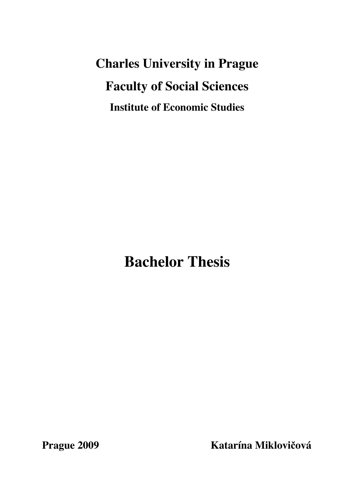**Charles University in Prague Faculty of Social Sciences Institute of Economic Studies** 

**Bachelor Thesis** 

**Prague 2009 Katarína Miklovi!ová**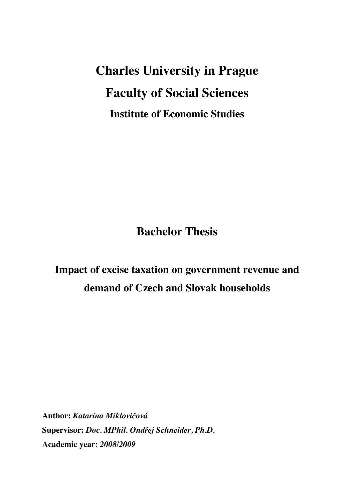**Charles University in Prague Faculty of Social Sciences Institute of Economic Studies** 

**Bachelor Thesis** 

# **Impact of excise taxation on government revenue and demand of Czech and Slovak households**

**Author:** *Katarína Mikloviová* **Supervisor:** *Doc. MPhil. Ondej Schneider, Ph.D.* **Academic year:** *2008/2009*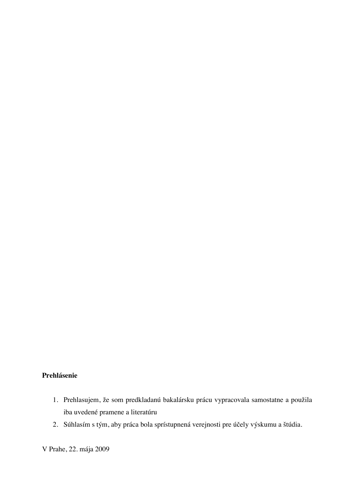## **Prehlásenie**

- 1. Prehlasujem, že som predkladanú bakalársku prácu vypracovala samostatne a použila iba uvedené pramene a literatúru
- 2. Súhlasím s tým, aby práca bola sprístupnená verejnosti pre účely výskumu a štúdia.

V Prahe, 22. mája 2009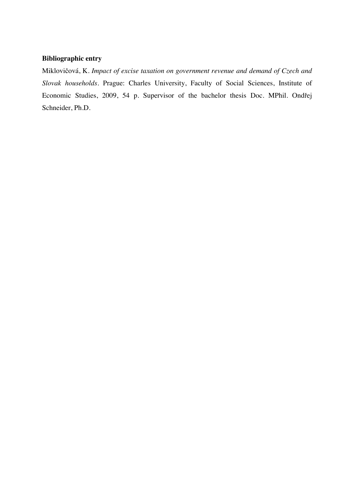### **Bibliographic entry**

Miklovičová, K. *Impact of excise taxation on government revenue and demand of Czech and Slovak households.* Prague: Charles University, Faculty of Social Sciences, Institute of Economic Studies, 2009, 54 p. Supervisor of the bachelor thesis Doc. MPhil. Ondřej Schneider, Ph.D.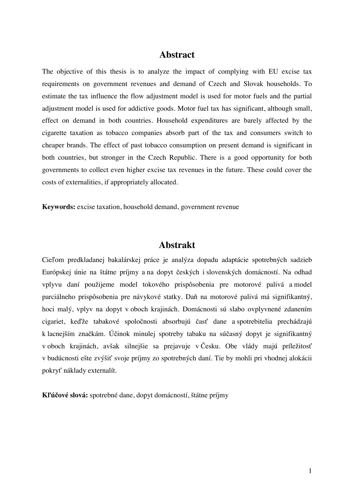## **Abstract**

The objective of this thesis is to analyze the impact of complying with EU excise tax requirements on government revenues and demand of Czech and Slovak households. To estimate the tax influence the flow adjustment model is used for motor fuels and the partial adjustment model is used for addictive goods. Motor fuel tax has significant, although small, effect on demand in both countries. Household expenditures are barely affected by the cigarette taxation as tobacco companies absorb part of the tax and consumers switch to cheaper brands. The effect of past tobacco consumption on present demand is significant in both countries, but stronger in the Czech Republic. There is a good opportunity for both governments to collect even higher excise tax revenues in the future. These could cover the costs of externalities, if appropriately allocated.

**Keywords:** excise taxation, household demand, government revenue

## **Abstrakt**

Cieľom predkladanej bakalárskej práce je analýza dopadu adaptácie spotrebných sadzieb Európskej únie na štátne príjmy a na dopyt českých i slovenských domácností. Na odhad vplyvu daní použijeme model tokového prispôsobenia pre motorové palivá a model parciálneho prispôsobenia pre návykové statky. Daň na motorové palivá má signifikantný, hoci malý, vplyv na dopyt v oboch krajinách. Domácnosti sú slabo ovplyvnené zdanením cigariet, keďže tabakové spoločnosti absorbujú časť dane a spotrebitelia prechádzajú k lacnejším značkám. Účinok minulej spotreby tabaku na súčasný dopyt je signifikantný v oboch krajinách, avšak silnejšie sa prejavuje v Česku. Obe vlády majú príležitosť v budúcnosti ešte zvýšiť svoje príjmy zo spotrebných daní. Tie by mohli pri vhodnej alokácii pokryť náklady externalít.

**Kúové slová:** spotrebné dane, dopyt domácností, štátne príjmy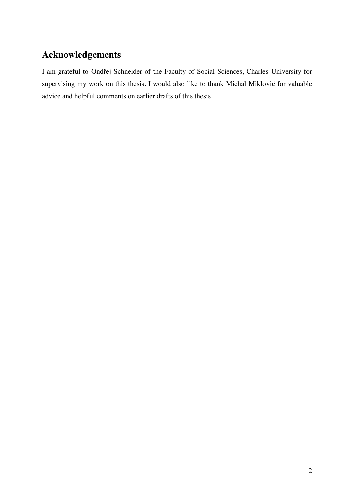# **Acknowledgements**

I am grateful to Ondřej Schneider of the Faculty of Social Sciences, Charles University for supervising my work on this thesis. I would also like to thank Michal Miklovič for valuable advice and helpful comments on earlier drafts of this thesis.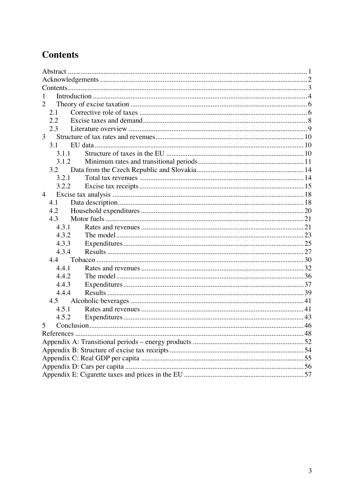# **Contents**

| $\mathbf{1}$   |    |  |
|----------------|----|--|
| 2              |    |  |
| 2.1            |    |  |
| 2.2            |    |  |
| 2.3            |    |  |
| $\overline{3}$ |    |  |
| 3.1            |    |  |
| 3.1.1          |    |  |
| 3.1.2          |    |  |
| 3.2            |    |  |
| 3.2.1          |    |  |
| 3.2.2          |    |  |
| $\overline{4}$ |    |  |
| 4.1            |    |  |
| 4.2            |    |  |
| 4.3            |    |  |
| 4.3.1          |    |  |
| 4.3.2          |    |  |
| 4.3.3          |    |  |
| 4.3.4          |    |  |
| 4.4            |    |  |
| 4.4.1          |    |  |
| 4.4.2          |    |  |
| 4.4.3          |    |  |
| 4.4.4          |    |  |
| 4.5            |    |  |
| 4.5.1          |    |  |
| 4.5.2          |    |  |
| 5              |    |  |
| References     | 48 |  |
|                |    |  |
|                |    |  |
|                |    |  |
|                |    |  |
|                |    |  |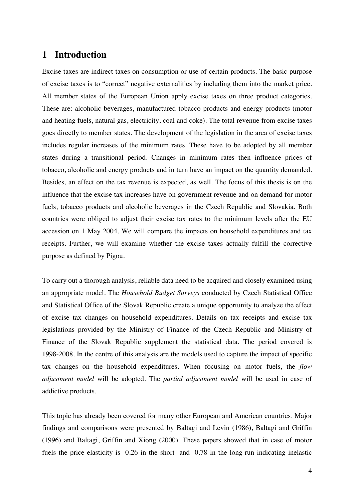## **1 Introduction**

Excise taxes are indirect taxes on consumption or use of certain products. The basic purpose of excise taxes is to "correct" negative externalities by including them into the market price. All member states of the European Union apply excise taxes on three product categories. These are: alcoholic beverages, manufactured tobacco products and energy products (motor and heating fuels, natural gas, electricity, coal and coke). The total revenue from excise taxes goes directly to member states. The development of the legislation in the area of excise taxes includes regular increases of the minimum rates. These have to be adopted by all member states during a transitional period. Changes in minimum rates then influence prices of tobacco, alcoholic and energy products and in turn have an impact on the quantity demanded. Besides, an effect on the tax revenue is expected, as well. The focus of this thesis is on the influence that the excise tax increases have on government revenue and on demand for motor fuels, tobacco products and alcoholic beverages in the Czech Republic and Slovakia. Both countries were obliged to adjust their excise tax rates to the minimum levels after the EU accession on 1 May 2004. We will compare the impacts on household expenditures and tax receipts. Further, we will examine whether the excise taxes actually fulfill the corrective purpose as defined by Pigou.

To carry out a thorough analysis, reliable data need to be acquired and closely examined using an appropriate model. The *Household Budget Surveys* conducted by Czech Statistical Office and Statistical Office of the Slovak Republic create a unique opportunity to analyze the effect of excise tax changes on household expenditures. Details on tax receipts and excise tax legislations provided by the Ministry of Finance of the Czech Republic and Ministry of Finance of the Slovak Republic supplement the statistical data. The period covered is 1998-2008. In the centre of this analysis are the models used to capture the impact of specific tax changes on the household expenditures. When focusing on motor fuels, the *flow adjustment model* will be adopted. The *partial adjustment model* will be used in case of addictive products.

This topic has already been covered for many other European and American countries. Major findings and comparisons were presented by Baltagi and Levin (1986), Baltagi and Griffin (1996) and Baltagi, Griffin and Xiong (2000). These papers showed that in case of motor fuels the price elasticity is -0.26 in the short- and -0.78 in the long-run indicating inelastic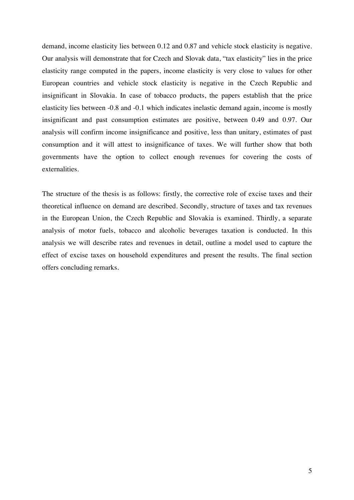demand, income elasticity lies between 0.12 and 0.87 and vehicle stock elasticity is negative. Our analysis will demonstrate that for Czech and Slovak data, "tax elasticity" lies in the price elasticity range computed in the papers, income elasticity is very close to values for other European countries and vehicle stock elasticity is negative in the Czech Republic and insignificant in Slovakia. In case of tobacco products, the papers establish that the price elasticity lies between -0.8 and -0.1 which indicates inelastic demand again, income is mostly insignificant and past consumption estimates are positive, between 0.49 and 0.97. Our analysis will confirm income insignificance and positive, less than unitary, estimates of past consumption and it will attest to insignificance of taxes. We will further show that both governments have the option to collect enough revenues for covering the costs of externalities.

The structure of the thesis is as follows: firstly, the corrective role of excise taxes and their theoretical influence on demand are described. Secondly, structure of taxes and tax revenues in the European Union, the Czech Republic and Slovakia is examined. Thirdly, a separate analysis of motor fuels, tobacco and alcoholic beverages taxation is conducted. In this analysis we will describe rates and revenues in detail, outline a model used to capture the effect of excise taxes on household expenditures and present the results. The final section offers concluding remarks.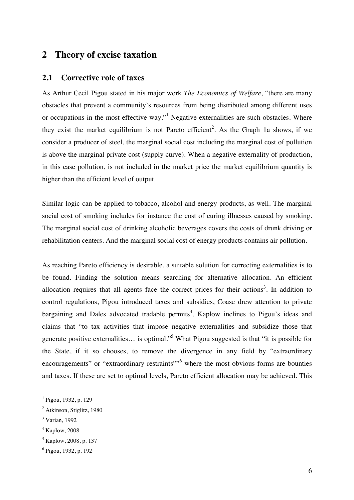## **2 Theory of excise taxation**

#### **2.1 Corrective role of taxes**

As Arthur Cecil Pigou stated in his major work *The Economics of Welfare*, "there are many obstacles that prevent a community's resources from being distributed among different uses or occupations in the most effective way."<sup>1</sup> Negative externalities are such obstacles. Where they exist the market equilibrium is not Pareto efficient<sup>2</sup>. As the Graph 1a shows, if we consider a producer of steel, the marginal social cost including the marginal cost of pollution is above the marginal private cost (supply curve). When a negative externality of production, in this case pollution, is not included in the market price the market equilibrium quantity is higher than the efficient level of output.

Similar logic can be applied to tobacco, alcohol and energy products, as well. The marginal social cost of smoking includes for instance the cost of curing illnesses caused by smoking. The marginal social cost of drinking alcoholic beverages covers the costs of drunk driving or rehabilitation centers. And the marginal social cost of energy products contains air pollution.

As reaching Pareto efficiency is desirable, a suitable solution for correcting externalities is to be found. Finding the solution means searching for alternative allocation. An efficient allocation requires that all agents face the correct prices for their actions<sup>3</sup>. In addition to control regulations, Pigou introduced taxes and subsidies, Coase drew attention to private bargaining and Dales advocated tradable permits<sup>4</sup>. Kaplow inclines to Pigou's ideas and claims that "to tax activities that impose negative externalities and subsidize those that generate positive externalities... is optimal."<sup>5</sup> What Pigou suggested is that "it is possible for the State, if it so chooses, to remove the divergence in any field by "extraordinary encouragements" or "extraordinary restraints"<sup>5</sup> where the most obvious forms are bounties and taxes. If these are set to optimal levels, Pareto efficient allocation may be achieved. This

<sup>1</sup> Pigou, 1932, p. 129

<sup>&</sup>lt;sup>2</sup> Atkinson, Stiglitz, 1980

<sup>3</sup> Varian, 1992

<sup>4</sup> Kaplow, 2008

<sup>5</sup> Kaplow, 2008, p. 137

<sup>6</sup> Pigou, 1932, p. 192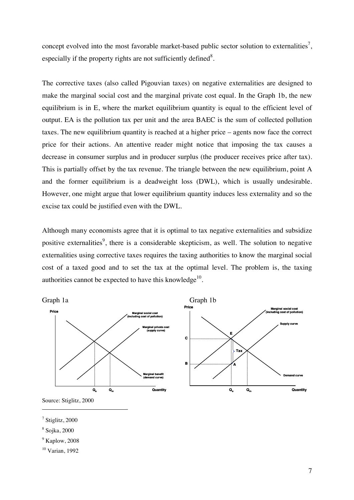concept evolved into the most favorable market-based public sector solution to externalities<sup>7</sup>, especially if the property rights are not sufficiently defined<sup>8</sup>.

The corrective taxes (also called Pigouvian taxes) on negative externalities are designed to make the marginal social cost and the marginal private cost equal. In the Graph 1b, the new equilibrium is in E, where the market equilibrium quantity is equal to the efficient level of output. EA is the pollution tax per unit and the area BAEC is the sum of collected pollution taxes. The new equilibrium quantity is reached at a higher price – agents now face the correct price for their actions. An attentive reader might notice that imposing the tax causes a decrease in consumer surplus and in producer surplus (the producer receives price after tax). This is partially offset by the tax revenue. The triangle between the new equilibrium, point A and the former equilibrium is a deadweight loss (DWL), which is usually undesirable. However, one might argue that lower equilibrium quantity induces less externality and so the excise tax could be justified even with the DWL.

Although many economists agree that it is optimal to tax negative externalities and subsidize positive externalities<sup>9</sup>, there is a considerable skepticism, as well. The solution to negative externalities using corrective taxes requires the taxing authorities to know the marginal social cost of a taxed good and to set the tax at the optimal level. The problem is, the taxing authorities cannot be expected to have this knowledge $10$ .



Source: Stiglitz, 2000

 $^7$  Stiglitz, 2000

 $\overline{a}$ 

 $^9$  Kaplow, 2008

10 Varian, 1992

<sup>8</sup> Sojka, 2000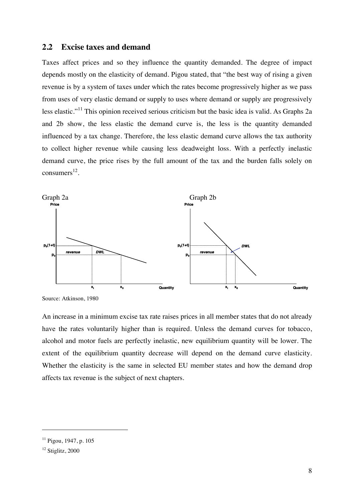#### **2.2 Excise taxes and demand**

Taxes affect prices and so they influence the quantity demanded. The degree of impact depends mostly on the elasticity of demand. Pigou stated, that "the best way of rising a given revenue is by a system of taxes under which the rates become progressively higher as we pass from uses of very elastic demand or supply to uses where demand or supply are progressively less elastic."11 This opinion received serious criticism but the basic idea is valid. As Graphs 2a and 2b show, the less elastic the demand curve is, the less is the quantity demanded influenced by a tax change. Therefore, the less elastic demand curve allows the tax authority to collect higher revenue while causing less deadweight loss. With a perfectly inelastic demand curve, the price rises by the full amount of the tax and the burden falls solely on consumers $^{12}$ .



Source: Atkinson, 1980

An increase in a minimum excise tax rate raises prices in all member states that do not already have the rates voluntarily higher than is required. Unless the demand curves for tobacco, alcohol and motor fuels are perfectly inelastic, new equilibrium quantity will be lower. The extent of the equilibrium quantity decrease will depend on the demand curve elasticity. Whether the elasticity is the same in selected EU member states and how the demand drop affects tax revenue is the subject of next chapters.

<sup>11</sup> Pigou, 1947, p. 105

<sup>&</sup>lt;sup>12</sup> Stiglitz, 2000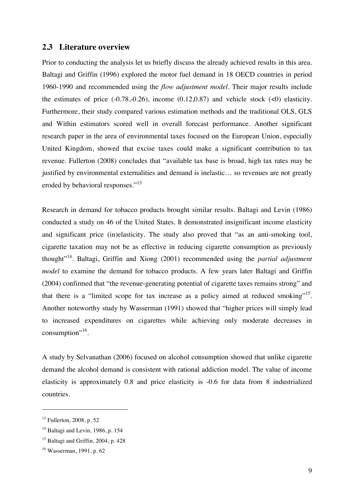#### **2.3 Literature overview**

Prior to conducting the analysis let us briefly discuss the already achieved results in this area. Baltagi and Griffin (1996) explored the motor fuel demand in 18 OECD countries in period 1960-1990 and recommended using the *flow adjustment model*. Their major results include the estimates of price  $(-0.78,-0.26)$ , income  $(0.12,0.87)$  and vehicle stock  $(\leq 0)$  elasticity. Furthermore, their study compared various estimation methods and the traditional OLS, GLS and Within estimators scored well in overall forecast performance. Another significant research paper in the area of environmental taxes focused on the European Union, especially United Kingdom, showed that excise taxes could make a significant contribution to tax revenue. Fullerton (2008) concludes that "available tax base is broad, high tax rates may be justified by environmental externalities and demand is inelastic… so revenues are not greatly eroded by behavioral responses."<sup>13</sup>

Research in demand for tobacco products brought similar results. Baltagi and Levin (1986) conducted a study on 46 of the United States. It demonstrated insignificant income elasticity and significant price (in)elasticity. The study also proved that "as an anti-smoking tool, cigarette taxation may not be as effective in reducing cigarette consumption as previously thought"14. Baltagi, Griffin and Xiong (2001) recommended using the *partial adjustment model* to examine the demand for tobacco products. A few years later Baltagi and Griffin (2004) confirmed that "the revenue-generating potential of cigarette taxes remains strong" and that there is a "limited scope for tax increase as a policy aimed at reduced smoking".<sup>15</sup>. Another noteworthy study by Wasserman (1991) showed that "higher prices will simply lead to increased expenditures on cigarettes while achieving only moderate decreases in consumption".<sup>16</sup>.

A study by Selvanathan (2006) focused on alcohol consumption showed that unlike cigarette demand the alcohol demand is consistent with rational addiction model. The value of income elasticity is approximately 0.8 and price elasticity is -0.6 for data from 8 industrialized countries.

 $13$  Fullerton, 2008, p. 52

 $14$  Baltagi and Levin, 1986, p. 154

 $15$  Baltagi and Griffin, 2004, p. 428

<sup>16</sup> Wasserman, 1991, p. 62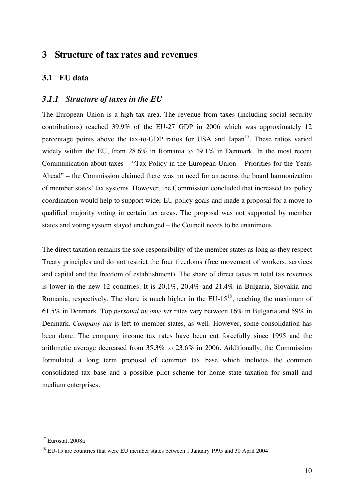## **3 Structure of tax rates and revenues**

#### **3.1 EU data**

#### *3.1.1 Structure of taxes in the EU*

The European Union is a high tax area. The revenue from taxes (including social security contributions) reached 39.9% of the EU-27 GDP in 2006 which was approximately 12 percentage points above the tax-to-GDP ratios for USA and Japan<sup>17</sup>. These ratios varied widely within the EU, from 28.6% in Romania to 49.1% in Denmark. In the most recent Communication about taxes – "Tax Policy in the European Union – Priorities for the Years Ahead" – the Commission claimed there was no need for an across the board harmonization of member states' tax systems. However, the Commission concluded that increased tax policy coordination would help to support wider EU policy goals and made a proposal for a move to qualified majority voting in certain tax areas. The proposal was not supported by member states and voting system stayed unchanged – the Council needs to be unanimous.

The direct taxation remains the sole responsibility of the member states as long as they respect Treaty principles and do not restrict the four freedoms (free movement of workers, services and capital and the freedom of establishment). The share of direct taxes in total tax revenues is lower in the new 12 countries. It is 20.1%, 20.4% and 21.4% in Bulgaria, Slovakia and Romania, respectively. The share is much higher in the  $EU-15^{18}$ , reaching the maximum of 61.5% in Denmark. Top *personal income tax* rates vary between 16% in Bulgaria and 59% in Denmark. *Company tax* is left to member states, as well. However, some consolidation has been done. The company income tax rates have been cut forcefully since 1995 and the arithmetic average decreased from 35.3% to 23.6% in 2006. Additionally, the Commission formulated a long term proposal of common tax base which includes the common consolidated tax base and a possible pilot scheme for home state taxation for small and medium enterprises.

 $17$  Eurostat, 2008a

<sup>&</sup>lt;sup>18</sup> EU-15 are countries that were EU member states between 1 January 1995 and 30 April 2004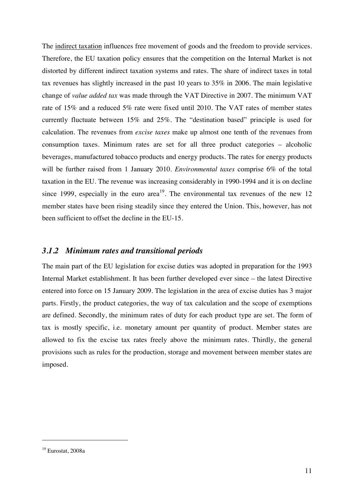The indirect taxation influences free movement of goods and the freedom to provide services. Therefore, the EU taxation policy ensures that the competition on the Internal Market is not distorted by different indirect taxation systems and rates. The share of indirect taxes in total tax revenues has slightly increased in the past 10 years to 35% in 2006. The main legislative change of *value added tax* was made through the VAT Directive in 2007. The minimum VAT rate of 15% and a reduced 5% rate were fixed until 2010. The VAT rates of member states currently fluctuate between 15% and 25%. The "destination based" principle is used for calculation. The revenues from *excise taxes* make up almost one tenth of the revenues from consumption taxes. Minimum rates are set for all three product categories – alcoholic beverages, manufactured tobacco products and energy products. The rates for energy products will be further raised from 1 January 2010. *Environmental taxes* comprise 6% of the total taxation in the EU. The revenue was increasing considerably in 1990-1994 and it is on decline since 1999, especially in the euro area<sup>19</sup>. The environmental tax revenues of the new 12 member states have been rising steadily since they entered the Union. This, however, has not been sufficient to offset the decline in the EU-15.

#### *3.1.2 Minimum rates and transitional periods*

The main part of the EU legislation for excise duties was adopted in preparation for the 1993 Internal Market establishment. It has been further developed ever since – the latest Directive entered into force on 15 January 2009. The legislation in the area of excise duties has 3 major parts. Firstly, the product categories, the way of tax calculation and the scope of exemptions are defined. Secondly, the minimum rates of duty for each product type are set. The form of tax is mostly specific, i.e. monetary amount per quantity of product. Member states are allowed to fix the excise tax rates freely above the minimum rates. Thirdly, the general provisions such as rules for the production, storage and movement between member states are imposed.

 $19$  Eurostat, 2008a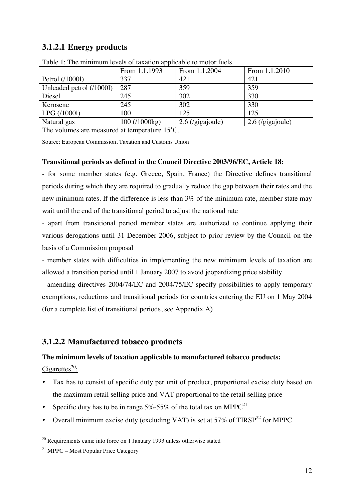## **3.1.2.1 Energy products**

|                          | From 1.1.1993 | From 1.1.2004      | From 1.1.2010      |
|--------------------------|---------------|--------------------|--------------------|
| Petrol (/10001)          | 337           | 421                | 421                |
| Unleaded petrol (/10001) | 287           | 359                | 359                |
| Diesel                   | 245           | 302                | 330                |
| Kerosene                 | 245           | 302                | 330                |
| LPG (/10001)             | 100           | 125                | 125                |
| Natural gas              | 100 (/1000kg) | $2.6$ (/gigajoule) | $2.6$ (/gigajoule) |
|                          | $\sim$ $\sim$ |                    |                    |

Table 1: The minimum levels of taxation applicable to motor fuels

The volumes are measured at temperature 15˚C.

Source: European Commission, Taxation and Customs Union

#### **Transitional periods as defined in the Council Directive 2003/96/EC, Article 18:**

- for some member states (e.g. Greece, Spain, France) the Directive defines transitional periods during which they are required to gradually reduce the gap between their rates and the new minimum rates. If the difference is less than 3% of the minimum rate, member state may wait until the end of the transitional period to adjust the national rate

- apart from transitional period member states are authorized to continue applying their various derogations until 31 December 2006, subject to prior review by the Council on the basis of a Commission proposal

- member states with difficulties in implementing the new minimum levels of taxation are allowed a transition period until 1 January 2007 to avoid jeopardizing price stability

- amending directives 2004/74/EC and 2004/75/EC specify possibilities to apply temporary exemptions, reductions and transitional periods for countries entering the EU on 1 May 2004 (for a complete list of transitional periods, see Appendix A)

## **3.1.2.2 Manufactured tobacco products**

## **The minimum levels of taxation applicable to manufactured tobacco products:**

Cigarettes $^{20}$ :

- Tax has to consist of specific duty per unit of product, proportional excise duty based on the maximum retail selling price and VAT proportional to the retail selling price
- Specific duty has to be in range  $5\%$ -55% of the total tax on MPPC<sup>21</sup>
- Overall minimum excise duty (excluding VAT) is set at 57% of TIRSP<sup>22</sup> for MPPC

 $20$  Requirements came into force on 1 January 1993 unless otherwise stated

 $21$  MPPC – Most Popular Price Category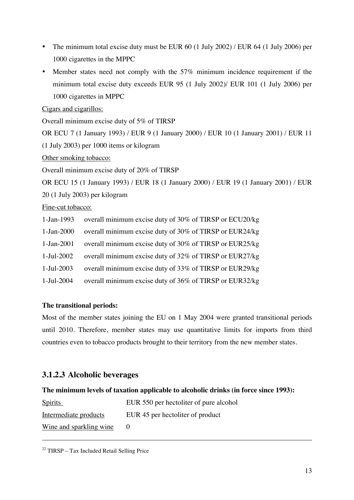- The minimum total excise duty must be EUR 60 (1 July 2002) / EUR 64 (1 July 2006) per 1000 cigarettes in the MPPC
- Member states need not comply with the 57% minimum incidence requirement if the minimum total excise duty exceeds EUR 95 (1 July 2002)/ EUR 101 (1 July 2006) per 1000 cigarettes in MPPC

Cigars and cigarillos:

Overall minimum excise duty of 5% of TIRSP

OR ECU 7 (1 January 1993) / EUR 9 (1 January 2000) / EUR 10 (1 January 2001) / EUR 11

(1 July 2003) per 1000 items or kilogram

Other smoking tobacco:

Overall minimum excise duty of 20% of TIRSP

OR ECU 15 (1 January 1993) / EUR 18 (1 January 2000) / EUR 19 (1 January 2001) / EUR

20 (1 July 2003) per kilogram

Fine-cut tobacco:

- 1-Jan-1993 overall minimum excise duty of 30% of TIRSP or ECU20/kg
- 1-Jan-2000 overall minimum excise duty of 30% of TIRSP or EUR24/kg
- 1-Jan-2001 overall minimum excise duty of 30% of TIRSP or EUR25/kg
- 1-Jul-2002 overall minimum excise duty of 32% of TIRSP or EUR27/kg
- 1-Jul-2003 overall minimum excise duty of 33% of TIRSP or EUR29/kg
- 1-Jul-2004 overall minimum excise duty of 36% of TIRSP or EUR32/kg

#### **The transitional periods:**

Most of the member states joining the EU on 1 May 2004 were granted transitional periods until 2010. Therefore, member states may use quantitative limits for imports from third countries even to tobacco products brought to their territory from the new member states.

## **3.1.2.3 Alcoholic beverages**

#### **The minimum levels of taxation applicable to alcoholic drinks (in force since 1993):**

| <b>Spirits</b>          | EUR 550 per hectoliter of pure alcohol |
|-------------------------|----------------------------------------|
| Intermediate products   | EUR 45 per hectoliter of product       |
| Wine and sparkling wine |                                        |

 $22$  TIRSP – Tax Included Retail Selling Price

-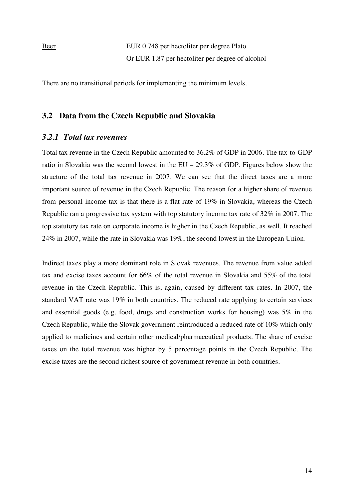Beer EUR 0.748 per hectoliter per degree Plato Or EUR 1.87 per hectoliter per degree of alcohol

There are no transitional periods for implementing the minimum levels.

#### **3.2 Data from the Czech Republic and Slovakia**

#### *3.2.1 Total tax revenues*

Total tax revenue in the Czech Republic amounted to 36.2% of GDP in 2006. The tax-to-GDP ratio in Slovakia was the second lowest in the EU – 29.3% of GDP. Figures below show the structure of the total tax revenue in 2007. We can see that the direct taxes are a more important source of revenue in the Czech Republic. The reason for a higher share of revenue from personal income tax is that there is a flat rate of 19% in Slovakia, whereas the Czech Republic ran a progressive tax system with top statutory income tax rate of 32% in 2007. The top statutory tax rate on corporate income is higher in the Czech Republic, as well. It reached 24% in 2007, while the rate in Slovakia was 19%, the second lowest in the European Union.

Indirect taxes play a more dominant role in Slovak revenues. The revenue from value added tax and excise taxes account for 66% of the total revenue in Slovakia and 55% of the total revenue in the Czech Republic. This is, again, caused by different tax rates. In 2007, the standard VAT rate was 19% in both countries. The reduced rate applying to certain services and essential goods (e.g. food, drugs and construction works for housing) was 5% in the Czech Republic, while the Slovak government reintroduced a reduced rate of 10% which only applied to medicines and certain other medical/pharmaceutical products. The share of excise taxes on the total revenue was higher by 5 percentage points in the Czech Republic. The excise taxes are the second richest source of government revenue in both countries.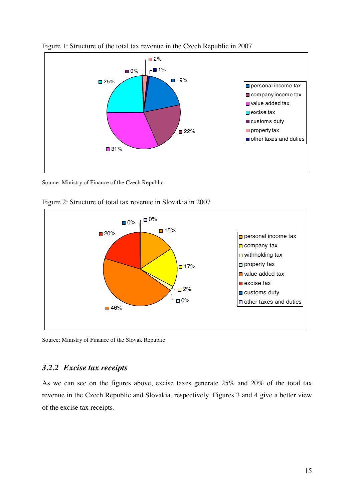

Figure 1: Structure of the total tax revenue in the Czech Republic in 2007

Source: Ministry of Finance of the Czech Republic



Figure 2: Structure of total tax revenue in Slovakia in 2007

Source: Ministry of Finance of the Slovak Republic

## *3.2.2 Excise tax receipts*

As we can see on the figures above, excise taxes generate 25% and 20% of the total tax revenue in the Czech Republic and Slovakia, respectively. Figures 3 and 4 give a better view of the excise tax receipts.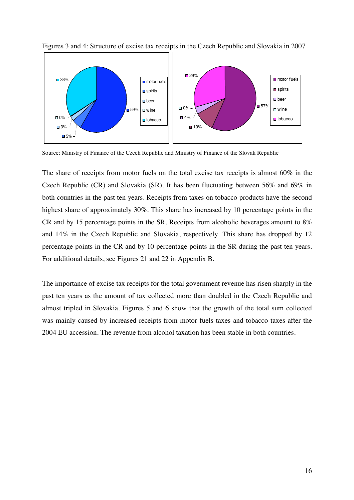

Figures 3 and 4: Structure of excise tax receipts in the Czech Republic and Slovakia in 2007

Source: Ministry of Finance of the Czech Republic and Ministry of Finance of the Slovak Republic

The share of receipts from motor fuels on the total excise tax receipts is almost 60% in the Czech Republic (CR) and Slovakia (SR). It has been fluctuating between 56% and 69% in both countries in the past ten years. Receipts from taxes on tobacco products have the second highest share of approximately 30%. This share has increased by 10 percentage points in the CR and by 15 percentage points in the SR. Receipts from alcoholic beverages amount to 8% and 14% in the Czech Republic and Slovakia, respectively. This share has dropped by 12 percentage points in the CR and by 10 percentage points in the SR during the past ten years. For additional details, see Figures 21 and 22 in Appendix B.

The importance of excise tax receipts for the total government revenue has risen sharply in the past ten years as the amount of tax collected more than doubled in the Czech Republic and almost tripled in Slovakia. Figures 5 and 6 show that the growth of the total sum collected was mainly caused by increased receipts from motor fuels taxes and tobacco taxes after the 2004 EU accession. The revenue from alcohol taxation has been stable in both countries.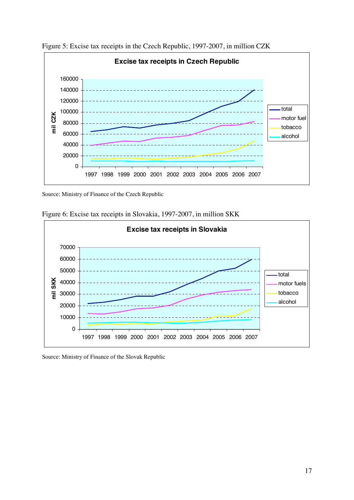

Figure 5: Excise tax receipts in the Czech Republic, 1997-2007, in million CZK

Source: Ministry of Finance of the Czech Republic





Source: Ministry of Finance of the Slovak Republic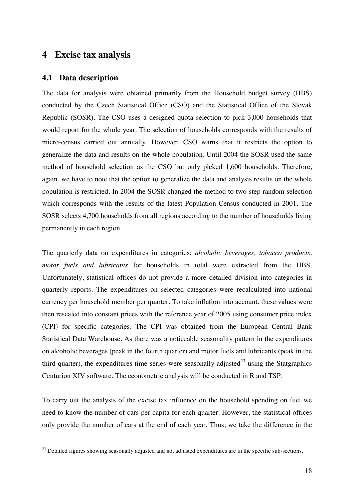## **4 Excise tax analysis**

#### **4.1 Data description**

 $\overline{a}$ 

The data for analysis were obtained primarily from the Household budget survey (HBS) conducted by the Czech Statistical Office (CSO) and the Statistical Office of the Slovak Republic (SOSR). The CSO uses a designed quota selection to pick 3,000 households that would report for the whole year. The selection of households corresponds with the results of micro-census carried out annually. However, CSO warns that it restricts the option to generalize the data and results on the whole population. Until 2004 the SOSR used the same method of household selection as the CSO but only picked 1,600 households. Therefore, again, we have to note that the option to generalize the data and analysis results on the whole population is restricted. In 2004 the SOSR changed the method to two-step random selection which corresponds with the results of the latest Population Census conducted in 2001. The SOSR selects 4,700 households from all regions according to the number of households living permanently in each region.

The quarterly data on expenditures in categories: *alcoholic beverages, tobacco products, motor fuels and lubricants* for households in total were extracted from the HBS. Unfortunately, statistical offices do not provide a more detailed division into categories in quarterly reports. The expenditures on selected categories were recalculated into national currency per household member per quarter. To take inflation into account, these values were then rescaled into constant prices with the reference year of 2005 using consumer price index (CPI) for specific categories. The CPI was obtained from the European Central Bank Statistical Data Warehouse. As there was a noticeable seasonality pattern in the expenditures on alcoholic beverages (peak in the fourth quarter) and motor fuels and lubricants (peak in the third quarter), the expenditures time series were seasonally adjusted<sup>23</sup> using the Statgraphics Centurion XIV software. The econometric analysis will be conducted in R and TSP.

To carry out the analysis of the excise tax influence on the household spending on fuel we need to know the number of cars per capita for each quarter. However, the statistical offices only provide the number of cars at the end of each year. Thus, we take the difference in the

 $^{23}$  Detailed figures showing seasonally adjusted and not adjusted expenditures are in the specific sub-sections.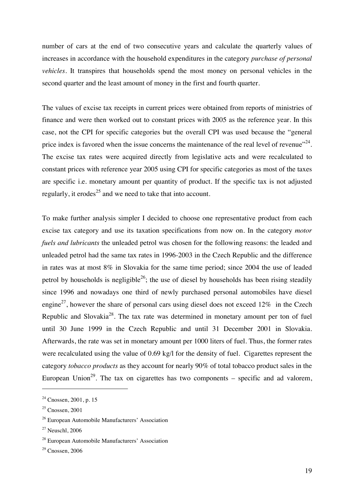number of cars at the end of two consecutive years and calculate the quarterly values of increases in accordance with the household expenditures in the category *purchase of personal vehicles*. It transpires that households spend the most money on personal vehicles in the second quarter and the least amount of money in the first and fourth quarter.

The values of excise tax receipts in current prices were obtained from reports of ministries of finance and were then worked out to constant prices with 2005 as the reference year. In this case, not the CPI for specific categories but the overall CPI was used because the "general price index is favored when the issue concerns the maintenance of the real level of revenue"<sup>24</sup>. The excise tax rates were acquired directly from legislative acts and were recalculated to constant prices with reference year 2005 using CPI for specific categories as most of the taxes are specific i.e. monetary amount per quantity of product. If the specific tax is not adjusted regularly, it erodes<sup>25</sup> and we need to take that into account.

To make further analysis simpler I decided to choose one representative product from each excise tax category and use its taxation specifications from now on. In the category *motor fuels and lubricants* the unleaded petrol was chosen for the following reasons: the leaded and unleaded petrol had the same tax rates in 1996-2003 in the Czech Republic and the difference in rates was at most 8% in Slovakia for the same time period; since 2004 the use of leaded petrol by households is negligible<sup>26</sup>; the use of diesel by households has been rising steadily since 1996 and nowadays one third of newly purchased personal automobiles have diesel engine<sup>27</sup>, however the share of personal cars using diesel does not exceed 12% in the Czech Republic and Slovakia<sup>28</sup>. The tax rate was determined in monetary amount per ton of fuel until 30 June 1999 in the Czech Republic and until 31 December 2001 in Slovakia. Afterwards, the rate was set in monetary amount per 1000 liters of fuel. Thus, the former rates were recalculated using the value of 0.69 kg/l for the density of fuel. Cigarettes represent the category *tobacco products* as they account for nearly 90% of total tobacco product sales in the European Union<sup>29</sup>. The tax on cigarettes has two components – specific and ad valorem,

 $24$  Cnossen, 2001, p. 15

 $25$  Cnossen, 2001

<sup>26</sup> European Automobile Manufacturers' Association

 $27$  Neuschl, 2006

<sup>28</sup> European Automobile Manufacturers' Association

 $29$  Cnossen, 2006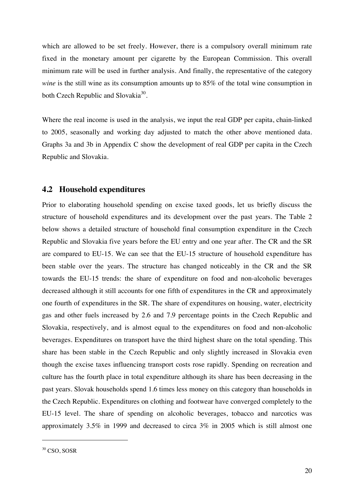which are allowed to be set freely. However, there is a compulsory overall minimum rate fixed in the monetary amount per cigarette by the European Commission. This overall minimum rate will be used in further analysis. And finally, the representative of the category *wine* is the still wine as its consumption amounts up to 85% of the total wine consumption in both Czech Republic and Slovakia<sup>30</sup>.

Where the real income is used in the analysis, we input the real GDP per capita, chain-linked to 2005, seasonally and working day adjusted to match the other above mentioned data. Graphs 3a and 3b in Appendix C show the development of real GDP per capita in the Czech Republic and Slovakia.

#### **4.2 Household expenditures**

Prior to elaborating household spending on excise taxed goods, let us briefly discuss the structure of household expenditures and its development over the past years. The Table 2 below shows a detailed structure of household final consumption expenditure in the Czech Republic and Slovakia five years before the EU entry and one year after. The CR and the SR are compared to EU-15. We can see that the EU-15 structure of household expenditure has been stable over the years. The structure has changed noticeably in the CR and the SR towards the EU-15 trends: the share of expenditure on food and non-alcoholic beverages decreased although it still accounts for one fifth of expenditures in the CR and approximately one fourth of expenditures in the SR. The share of expenditures on housing, water, electricity gas and other fuels increased by 2.6 and 7.9 percentage points in the Czech Republic and Slovakia, respectively, and is almost equal to the expenditures on food and non-alcoholic beverages. Expenditures on transport have the third highest share on the total spending. This share has been stable in the Czech Republic and only slightly increased in Slovakia even though the excise taxes influencing transport costs rose rapidly. Spending on recreation and culture has the fourth place in total expenditure although its share has been decreasing in the past years. Slovak households spend 1.6 times less money on this category than households in the Czech Republic. Expenditures on clothing and footwear have converged completely to the EU-15 level. The share of spending on alcoholic beverages, tobacco and narcotics was approximately 3.5% in 1999 and decreased to circa 3% in 2005 which is still almost one

<sup>&</sup>lt;sup>30</sup> CSO, SOSR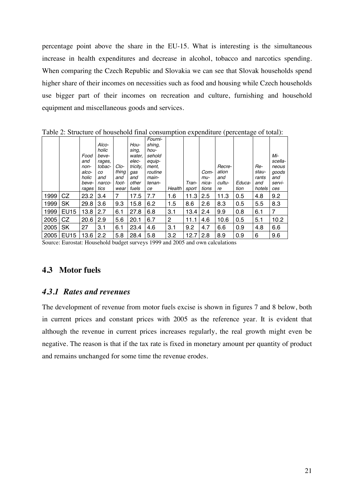percentage point above the share in the EU-15. What is interesting is the simultaneous increase in health expenditures and decrease in alcohol, tobacco and narcotics spending. When comparing the Czech Republic and Slovakia we can see that Slovak households spend higher share of their incomes on necessities such as food and housing while Czech households use bigger part of their incomes on recreation and culture, furnishing and household equipment and miscellaneous goods and services.

|      |                  |       |        |       |          | Fourni- |        |       |       |        |        |        |         |
|------|------------------|-------|--------|-------|----------|---------|--------|-------|-------|--------|--------|--------|---------|
|      |                  |       | Alco-  |       | Hou-     | shing,  |        |       |       |        |        |        |         |
|      |                  |       | holic  |       | sing,    | hou-    |        |       |       |        |        |        |         |
|      |                  | Food  | beve-  |       | water.   | sehold  |        |       |       |        |        |        | Mi-     |
|      |                  | and   | rages, |       | elec-    | equip-  |        |       |       |        |        |        | scella- |
|      |                  | non-  | tobac- | Clo-  | tricity, | ment,   |        |       |       | Recre- |        | Re-    | neous   |
|      |                  | alco- | co     | thing | gas      | routine |        |       | Com-  | ation  |        | stau-  | goods   |
|      |                  | holic | and    | and   | and      | main-   |        |       | mu-   | and    |        | rants  | and     |
|      |                  | beve- | narco- | foot- | other    | tenan-  |        | Tran- | nica- | cultu- | Educa- | and    | servi-  |
|      |                  | rages | tics   | wear  | fuels    | ce      | Health | sport | tions | re     | tion   | hotels | ces     |
| 1999 | CZ               | 23.2  | 3.4    | 7     | 17.5     | 7.7     | 1.6    | 11.3  | 2.5   | 11.3   | 0.5    | 4.8    | 9.2     |
| 1999 | <b>SK</b>        | 29.8  | 3.6    | 9.3   | 15.8     | 6.2     | 1.5    | 8.6   | 2.6   | 8.3    | 0.5    | 5.5    | 8.3     |
| 1999 | <b>EU15</b>      | 13.8  | 2.7    | 6.1   | 27.8     | 6.8     | 3.1    | 13.4  | 2.4   | 9.9    | 0.8    | 6.1    | 7       |
| 2005 | CZ               | 20.6  | 2.9    | 5.6   | 20.1     | 6.7     | 2      | 11.1  | 4.6   | 10.6   | 0.5    | 5.1    | 10.2    |
| 2005 | <b>SK</b>        | 27    | 3.1    | 6.1   | 23.4     | 4.6     | 3.1    | 9.2   | 4.7   | 6.6    | 0.9    | 4.8    | 6.6     |
| 2005 | EU <sub>15</sub> | 13.6  | 2.2    | 5.8   | 28.4     | 5.8     | 3.2    | 12.7  | 2.8   | 8.9    | 0.9    | 6      | 9.6     |

Table 2: Structure of household final consumption expenditure (percentage of total):

Source: Eurostat: Household budget surveys 1999 and 2005 and own calculations

## **4.3 Motor fuels**

#### *4.3.1 Rates and revenues*

The development of revenue from motor fuels excise is shown in figures 7 and 8 below, both in current prices and constant prices with 2005 as the reference year. It is evident that although the revenue in current prices increases regularly, the real growth might even be negative. The reason is that if the tax rate is fixed in monetary amount per quantity of product and remains unchanged for some time the revenue erodes.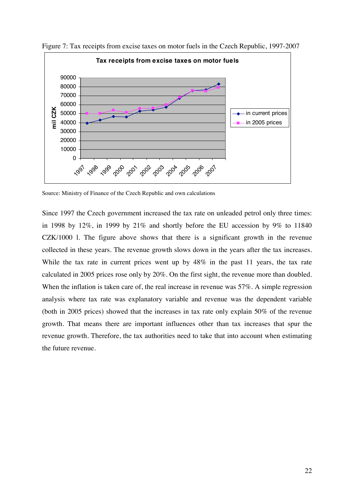

Figure 7: Tax receipts from excise taxes on motor fuels in the Czech Republic, 1997-2007

Source: Ministry of Finance of the Czech Republic and own calculations

Since 1997 the Czech government increased the tax rate on unleaded petrol only three times: in 1998 by 12%, in 1999 by 21% and shortly before the EU accession by 9% to 11840 CZK/1000 l. The figure above shows that there is a significant growth in the revenue collected in these years. The revenue growth slows down in the years after the tax increases. While the tax rate in current prices went up by  $48\%$  in the past 11 years, the tax rate calculated in 2005 prices rose only by 20%. On the first sight, the revenue more than doubled. When the inflation is taken care of, the real increase in revenue was 57%. A simple regression analysis where tax rate was explanatory variable and revenue was the dependent variable (both in 2005 prices) showed that the increases in tax rate only explain 50% of the revenue growth. That means there are important influences other than tax increases that spur the revenue growth. Therefore, the tax authorities need to take that into account when estimating the future revenue.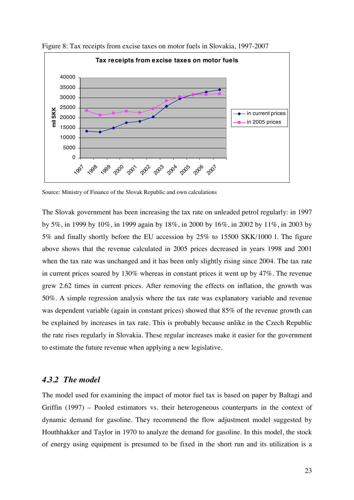

Figure 8: Tax receipts from excise taxes on motor fuels in Slovakia, 1997-2007

Source: Ministry of Finance of the Slovak Republic and own calculations

The Slovak government has been increasing the tax rate on unleaded petrol regularly: in 1997 by 5%, in 1999 by 10%, in 1999 again by 18%, in 2000 by 16%, in 2002 by 11%, in 2003 by 5% and finally shortly before the EU accession by 25% to 15500 SKK/1000 l. The figure above shows that the revenue calculated in 2005 prices decreased in years 1998 and 2001 when the tax rate was unchanged and it has been only slightly rising since 2004. The tax rate in current prices soared by 130% whereas in constant prices it went up by 47%. The revenue grew 2.62 times in current prices. After removing the effects on inflation, the growth was 50%. A simple regression analysis where the tax rate was explanatory variable and revenue was dependent variable (again in constant prices) showed that 85% of the revenue growth can be explained by increases in tax rate. This is probably because unlike in the Czech Republic the rate rises regularly in Slovakia. These regular increases make it easier for the government to estimate the future revenue when applying a new legislative.

#### *4.3.2 The model*

The model used for examining the impact of motor fuel tax is based on paper by Baltagi and Griffin (1997) – Pooled estimators vs. their heterogeneous counterparts in the context of dynamic demand for gasoline. They recommend the flow adjustment model suggested by Houthhakker and Taylor in 1970 to analyze the demand for gasoline. In this model, the stock of energy using equipment is presumed to be fixed in the short run and its utilization is a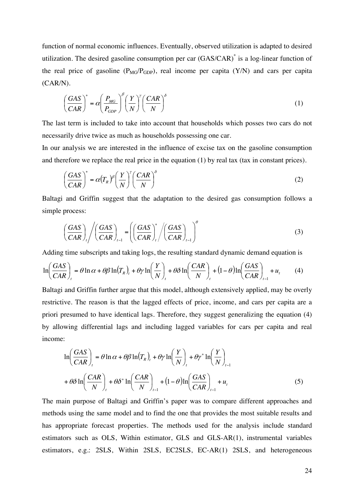function of normal economic influences. Eventually, observed utilization is adapted to desired utilization. The desired gasoline consumption per car (GAS/CAR)\* is a log-linear function of the real price of gasoline  $(P_{MG}/P_{GDP})$ , real income per capita  $(Y/N)$  and cars per capita (CAR/N).

$$
\left(\frac{GAS}{CAR}\right)^* = \alpha \left(\frac{P_{MG}}{P_{GDP}}\right)^{\beta} \left(\frac{Y}{N}\right)^{\gamma} \left(\frac{CAR}{N}\right)^{\delta}
$$
\n(1)

The last term is included to take into account that households which posses two cars do not necessarily drive twice as much as households possessing one car.

In our analysis we are interested in the influence of excise tax on the gasoline consumption and therefore we replace the real price in the equation (1) by real tax (tax in constant prices).

$$
\left(\frac{GAS}{CAR}\right)^* = \alpha \left(\frac{Y}{N}\right)^{\beta} \left(\frac{Y}{N}\right)^{\gamma} \left(\frac{CAR}{N}\right)^{\delta}
$$
\n(2)

Baltagi and Griffin suggest that the adaptation to the desired gas consumption follows a simple process:

$$
\left(\frac{GAS}{CAR}\right)_t \left/ \left(\frac{GAS}{CAR}\right)_{t-1} = \left(\left(\frac{GAS}{CAR}\right)_t^* \left/\left(\frac{GAS}{CAR}\right)_{t-1}\right)^{\theta} \right)
$$
\n(3)

Adding time subscripts and taking logs, the resulting standard dynamic demand equation is

$$
\ln\left(\frac{GAS}{CAR}\right)_t = \theta \ln \alpha + \theta \beta \ln(T_R)_t + \theta \gamma \ln\left(\frac{Y}{N}\right)_t + \theta \delta \ln\left(\frac{CAR}{N}\right)_t + (1 - \theta) \ln\left(\frac{GAS}{CAR}\right)_{t-1} + u_t \tag{4}
$$

Baltagi and Griffin further argue that this model, although extensively applied, may be overly restrictive. The reason is that the lagged effects of price, income, and cars per capita are a priori presumed to have identical lags. Therefore, they suggest generalizing the equation (4) by allowing differential lags and including lagged variables for cars per capita and real income:

$$
\ln\left(\frac{GAS}{CAR}\right)_t = \theta \ln \alpha + \theta \beta \ln(T_R)_t + \theta \gamma \ln\left(\frac{Y}{N}\right)_t + \theta \gamma^* \ln\left(\frac{Y}{N}\right)_{t-1}
$$

$$
+ \theta \delta \ln\left(\frac{CAR}{N}\right)_t + \theta \delta^* \ln\left(\frac{CAR}{N}\right)_{t-1} + (1 - \theta) \ln\left(\frac{GAS}{CAR}\right)_{t-1} + u_t
$$
(5)

The main purpose of Baltagi and Griffin's paper was to compare different approaches and methods using the same model and to find the one that provides the most suitable results and has appropriate forecast properties. The methods used for the analysis include standard estimators such as OLS, Within estimator, GLS and GLS-AR(1), instrumental variables estimators, e.g.: 2SLS, Within 2SLS, EC2SLS, EC-AR(1) 2SLS, and heterogeneous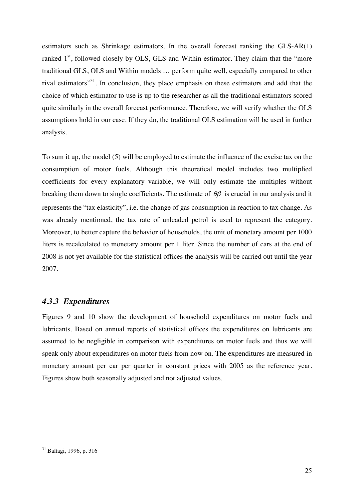estimators such as Shrinkage estimators. In the overall forecast ranking the GLS-AR(1) ranked  $1<sup>st</sup>$ , followed closely by OLS, GLS and Within estimator. They claim that the "more traditional GLS, OLS and Within models … perform quite well, especially compared to other rival estimators"31. In conclusion, they place emphasis on these estimators and add that the choice of which estimator to use is up to the researcher as all the traditional estimators scored quite similarly in the overall forecast performance. Therefore, we will verify whether the OLS assumptions hold in our case. If they do, the traditional OLS estimation will be used in further analysis.

To sum it up, the model (5) will be employed to estimate the influence of the excise tax on the consumption of motor fuels. Although this theoretical model includes two multiplied coefficients for every explanatory variable, we will only estimate the multiples without breaking them down to single coefficients. The estimate of  $\theta\beta$  is crucial in our analysis and it represents the "tax elasticity", i.e. the change of gas consumption in reaction to tax change. As was already mentioned, the tax rate of unleaded petrol is used to represent the category. Moreover, to better capture the behavior of households, the unit of monetary amount per 1000 liters is recalculated to monetary amount per 1 liter. Since the number of cars at the end of 2008 is not yet available for the statistical offices the analysis will be carried out until the year 2007.

#### *4.3.3 Expenditures*

Figures 9 and 10 show the development of household expenditures on motor fuels and lubricants. Based on annual reports of statistical offices the expenditures on lubricants are assumed to be negligible in comparison with expenditures on motor fuels and thus we will speak only about expenditures on motor fuels from now on. The expenditures are measured in monetary amount per car per quarter in constant prices with 2005 as the reference year. Figures show both seasonally adjusted and not adjusted values.

<sup>31</sup> Baltagi, 1996, p. 316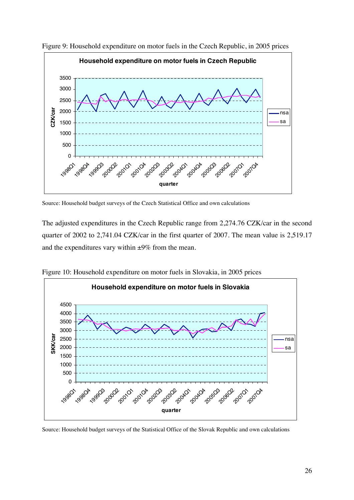

Figure 9: Household expenditure on motor fuels in the Czech Republic, in 2005 prices

Source: Household budget surveys of the Czech Statistical Office and own calculations

The adjusted expenditures in the Czech Republic range from 2,274.76 CZK/car in the second quarter of 2002 to 2,741.04 CZK/car in the first quarter of 2007. The mean value is 2,519.17 and the expenditures vary within ±9% from the mean.



Figure 10: Household expenditure on motor fuels in Slovakia, in 2005 prices

Source: Household budget surveys of the Statistical Office of the Slovak Republic and own calculations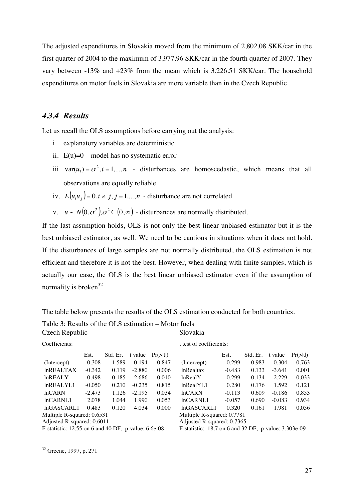The adjusted expenditures in Slovakia moved from the minimum of 2,802.08 SKK/car in the first quarter of 2004 to the maximum of 3,977.96 SKK/car in the fourth quarter of 2007. They vary between -13% and +23% from the mean which is 3,226.51 SKK/car. The household expenditures on motor fuels in Slovakia are more variable than in the Czech Republic.

#### *4.3.4 Results*

Let us recall the OLS assumptions before carrying out the analysis:

- i. explanatory variables are deterministic
- ii.  $E(u)=0$  model has no systematic error
- iii.  $var(u_i) = \sigma^2$ ,  $i = 1,...,n$  disturbances are homoscedastic, which means that all observations are equally reliable
- iv.  $E(u_i u_i) = 0, i \neq j, j = 1,...,n$  disturbance are not correlated
- v.  $u \sim N(0, \sigma^2), \sigma^2 \in (0, \infty)$  disturbances are normally distributed.

If the last assumption holds, OLS is not only the best linear unbiased estimator but it is the best unbiased estimator, as well. We need to be cautious in situations when it does not hold. If the disturbances of large samples are not normally distributed, the OLS estimation is not efficient and therefore it is not the best. However, when dealing with finite samples, which is actually our case, the OLS is the best linear unbiased estimator even if the assumption of normality is broken<sup>32</sup>.

The table below presents the results of the OLS estimation conducted for both countries.

| Tuble 9. Results of the OLS estimation<br>1110001 10010 |          |          |          |                      |                                                          |          |          |          |                      |
|---------------------------------------------------------|----------|----------|----------|----------------------|----------------------------------------------------------|----------|----------|----------|----------------------|
| Czech Republic                                          |          |          |          |                      | Slovakia                                                 |          |          |          |                      |
| Coefficients:                                           |          |          |          |                      | t test of coefficients:                                  |          |          |          |                      |
|                                                         | Est.     | Std. Er. | t value  | $Pr(>\vert t \vert)$ |                                                          | Est.     | Std. Er. | t value  | $Pr(>\vert t \vert)$ |
| (Intercept)                                             | $-0.308$ | 1.589    | $-0.194$ | 0.847                | (Intercept)                                              | 0.299    | 0.983    | 0.304    | 0.763                |
| <b>InREALTAX</b>                                        | $-0.342$ | 0.119    | $-2.880$ | 0.006                | <b>lnRealtax</b>                                         | $-0.483$ | 0.133    | $-3.641$ | 0.001                |
| <b>InREALY</b>                                          | 0.498    | 0.185    | 2.686    | 0.010                | lnRealY                                                  | 0.299    | 0.134    | 2.229    | 0.033                |
| lnREALYL1                                               | $-0.050$ | 0.210    | $-0.235$ | 0.815                | lnRealYL1                                                | 0.280    | 0.176    | 1.592    | 0.121                |
| lnCARN                                                  | $-2.473$ | 1.126    | $-2.195$ | 0.034                | lnCARN                                                   | $-0.113$ | 0.609    | $-0.186$ | 0.853                |
| lnCARNL1                                                | 2.078    | 1.044    | 1.990    | 0.053                | lnCARNL1                                                 | $-0.057$ | 0.690    | $-0.083$ | 0.934                |
| lnGASCARL1                                              | 0.483    | 0.120    | 4.034    | 0.000                | lnGASCARL1                                               | 0.320    | 0.161    | 1.981    | 0.056                |
| Multiple R-squared: 0.6531                              |          |          |          |                      | Multiple R-squared: 0.7781                               |          |          |          |                      |
| Adjusted R-squared: 0.6011                              |          |          |          |                      | Adjusted R-squared: 0.7365                               |          |          |          |                      |
| F-statistic: $12.55$ on 6 and 40 DF, p-value: $6.6e-08$ |          |          |          |                      | F-statistic: $18.7$ on 6 and 32 DF, p-value: $3.303e-09$ |          |          |          |                      |

Table 3: Results of the OLS estimation – Motor fuels

<sup>32</sup> Greene, 1997, p. 271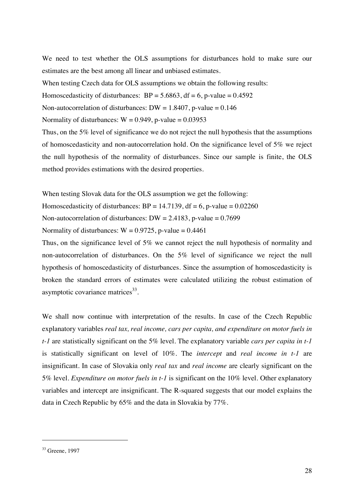We need to test whether the OLS assumptions for disturbances hold to make sure our estimates are the best among all linear and unbiased estimates.

When testing Czech data for OLS assumptions we obtain the following results:

Homoscedasticity of disturbances:  $BP = 5.6863$ , df = 6, p-value = 0.4592

Non-autocorrelation of disturbances:  $DW = 1.8407$ , p-value = 0.146

Normality of disturbances:  $W = 0.949$ , p-value = 0.03953

Thus, on the 5% level of significance we do not reject the null hypothesis that the assumptions of homoscedasticity and non-autocorrelation hold. On the significance level of 5% we reject the null hypothesis of the normality of disturbances. Since our sample is finite, the OLS method provides estimations with the desired properties.

When testing Slovak data for the OLS assumption we get the following:

Homoscedasticity of disturbances:  $BP = 14.7139$ , df = 6, p-value = 0.02260

Non-autocorrelation of disturbances:  $DW = 2.4183$ , p-value = 0.7699

Normality of disturbances:  $W = 0.9725$ , p-value = 0.4461

Thus, on the significance level of 5% we cannot reject the null hypothesis of normality and non-autocorrelation of disturbances. On the 5% level of significance we reject the null hypothesis of homoscedasticity of disturbances. Since the assumption of homoscedasticity is broken the standard errors of estimates were calculated utilizing the robust estimation of asymptotic covariance matrices $^{33}$ .

We shall now continue with interpretation of the results. In case of the Czech Republic explanatory variables *real tax, real income, cars per capita, and expenditure on motor fuels in t-1* are statistically significant on the 5% level. The explanatory variable *cars per capita in t-1* is statistically significant on level of 10%. The *intercept* and *real income in t-1* are insignificant. In case of Slovakia only *real tax* and *real income* are clearly significant on the 5% level. *Expenditure on motor fuels in t-1* is significant on the 10% level. Other explanatory variables and intercept are insignificant. The R-squared suggests that our model explains the data in Czech Republic by 65% and the data in Slovakia by 77%.

<sup>33</sup> Greene, 1997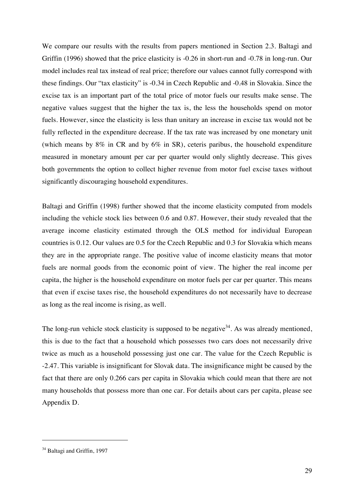We compare our results with the results from papers mentioned in Section 2.3. Baltagi and Griffin (1996) showed that the price elasticity is -0.26 in short-run and -0.78 in long-run. Our model includes real tax instead of real price; therefore our values cannot fully correspond with these findings. Our "tax elasticity" is -0.34 in Czech Republic and -0.48 in Slovakia. Since the excise tax is an important part of the total price of motor fuels our results make sense. The negative values suggest that the higher the tax is, the less the households spend on motor fuels. However, since the elasticity is less than unitary an increase in excise tax would not be fully reflected in the expenditure decrease. If the tax rate was increased by one monetary unit (which means by 8% in CR and by 6% in SR), ceteris paribus, the household expenditure measured in monetary amount per car per quarter would only slightly decrease. This gives both governments the option to collect higher revenue from motor fuel excise taxes without significantly discouraging household expenditures.

Baltagi and Griffin (1998) further showed that the income elasticity computed from models including the vehicle stock lies between 0.6 and 0.87. However, their study revealed that the average income elasticity estimated through the OLS method for individual European countries is 0.12. Our values are 0.5 for the Czech Republic and 0.3 for Slovakia which means they are in the appropriate range. The positive value of income elasticity means that motor fuels are normal goods from the economic point of view. The higher the real income per capita, the higher is the household expenditure on motor fuels per car per quarter. This means that even if excise taxes rise, the household expenditures do not necessarily have to decrease as long as the real income is rising, as well.

The long-run vehicle stock elasticity is supposed to be negative  $34$ . As was already mentioned, this is due to the fact that a household which possesses two cars does not necessarily drive twice as much as a household possessing just one car. The value for the Czech Republic is -2.47. This variable is insignificant for Slovak data. The insignificance might be caused by the fact that there are only 0.266 cars per capita in Slovakia which could mean that there are not many households that possess more than one car. For details about cars per capita, please see Appendix D.

<sup>&</sup>lt;sup>34</sup> Baltagi and Griffin, 1997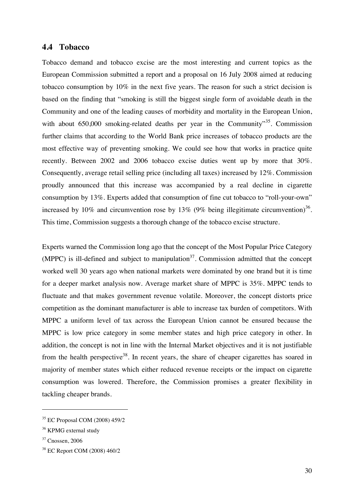#### **4.4 Tobacco**

Tobacco demand and tobacco excise are the most interesting and current topics as the European Commission submitted a report and a proposal on 16 July 2008 aimed at reducing tobacco consumption by 10% in the next five years. The reason for such a strict decision is based on the finding that "smoking is still the biggest single form of avoidable death in the Community and one of the leading causes of morbidity and mortality in the European Union, with about 650,000 smoking-related deaths per year in the Community"<sup>35</sup>. Commission further claims that according to the World Bank price increases of tobacco products are the most effective way of preventing smoking. We could see how that works in practice quite recently. Between 2002 and 2006 tobacco excise duties went up by more that 30%. Consequently, average retail selling price (including all taxes) increased by 12%. Commission proudly announced that this increase was accompanied by a real decline in cigarette consumption by 13%. Experts added that consumption of fine cut tobacco to "roll-your-own" increased by 10% and circumvention rose by 13% (9% being illegitimate circumvention)<sup>36</sup>. This time, Commission suggests a thorough change of the tobacco excise structure.

Experts warned the Commission long ago that the concept of the Most Popular Price Category (MPPC) is ill-defined and subject to manipulation<sup>37</sup>. Commission admitted that the concept worked well 30 years ago when national markets were dominated by one brand but it is time for a deeper market analysis now. Average market share of MPPC is 35%. MPPC tends to fluctuate and that makes government revenue volatile. Moreover, the concept distorts price competition as the dominant manufacturer is able to increase tax burden of competitors. With MPPC a uniform level of tax across the European Union cannot be ensured because the MPPC is low price category in some member states and high price category in other. In addition, the concept is not in line with the Internal Market objectives and it is not justifiable from the health perspective<sup>38</sup>. In recent years, the share of cheaper cigarettes has soared in majority of member states which either reduced revenue receipts or the impact on cigarette consumption was lowered. Therefore, the Commission promises a greater flexibility in tackling cheaper brands.

<sup>35</sup> EC Proposal COM (2008) 459/2

<sup>&</sup>lt;sup>36</sup> KPMG external study

 $37$  Cnossen, 2006

<sup>38</sup> EC Report COM (2008) 460/2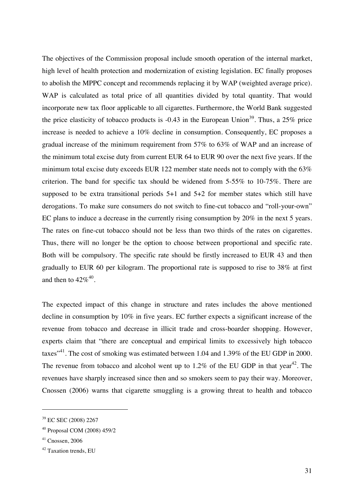The objectives of the Commission proposal include smooth operation of the internal market, high level of health protection and modernization of existing legislation. EC finally proposes to abolish the MPPC concept and recommends replacing it by WAP (weighted average price). WAP is calculated as total price of all quantities divided by total quantity. That would incorporate new tax floor applicable to all cigarettes. Furthermore, the World Bank suggested the price elasticity of tobacco products is  $-0.43$  in the European Union<sup>39</sup>. Thus, a 25% price increase is needed to achieve a 10% decline in consumption. Consequently, EC proposes a gradual increase of the minimum requirement from 57% to 63% of WAP and an increase of the minimum total excise duty from current EUR 64 to EUR 90 over the next five years. If the minimum total excise duty exceeds EUR 122 member state needs not to comply with the 63% criterion. The band for specific tax should be widened from 5-55% to 10-75%. There are supposed to be extra transitional periods 5+1 and 5+2 for member states which still have derogations. To make sure consumers do not switch to fine-cut tobacco and "roll-your-own" EC plans to induce a decrease in the currently rising consumption by 20% in the next 5 years. The rates on fine-cut tobacco should not be less than two thirds of the rates on cigarettes. Thus, there will no longer be the option to choose between proportional and specific rate. Both will be compulsory. The specific rate should be firstly increased to EUR 43 and then gradually to EUR 60 per kilogram. The proportional rate is supposed to rise to 38% at first and then to  $42\%^{40}$ .

The expected impact of this change in structure and rates includes the above mentioned decline in consumption by 10% in five years. EC further expects a significant increase of the revenue from tobacco and decrease in illicit trade and cross-boarder shopping. However, experts claim that "there are conceptual and empirical limits to excessively high tobacco taxes<sup>"41</sup>. The cost of smoking was estimated between 1.04 and 1.39% of the EU GDP in 2000. The revenue from tobacco and alcohol went up to  $1.2\%$  of the EU GDP in that year<sup>42</sup>. The revenues have sharply increased since then and so smokers seem to pay their way. Moreover, Cnossen (2006) warns that cigarette smuggling is a growing threat to health and tobacco

<sup>39</sup> EC SEC (2008) 2267

<sup>40</sup> Proposal COM (2008) 459/2

 $41$  Cnossen, 2006

<sup>&</sup>lt;sup>42</sup> Taxation trends, EU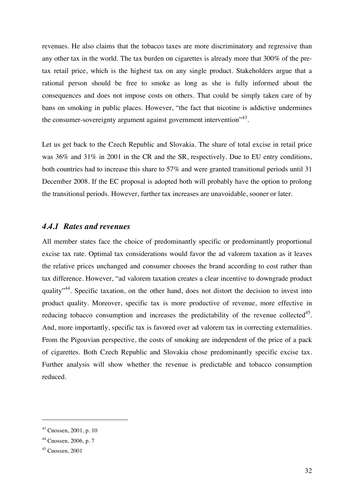revenues. He also claims that the tobacco taxes are more discriminatory and regressive than any other tax in the world. The tax burden on cigarettes is already more that 300% of the pretax retail price, which is the highest tax on any single product. Stakeholders argue that a rational person should be free to smoke as long as she is fully informed about the consequences and does not impose costs on others. That could be simply taken care of by bans on smoking in public places. However, "the fact that nicotine is addictive undermines the consumer-sovereignty argument against government intervention<sup>"43</sup>.

Let us get back to the Czech Republic and Slovakia. The share of total excise in retail price was 36% and 31% in 2001 in the CR and the SR, respectively. Due to EU entry conditions, both countries had to increase this share to 57% and were granted transitional periods until 31 December 2008. If the EC proposal is adopted both will probably have the option to prolong the transitional periods. However, further tax increases are unavoidable, sooner or later.

#### *4.4.1 Rates and revenues*

All member states face the choice of predominantly specific or predominantly proportional excise tax rate. Optimal tax considerations would favor the ad valorem taxation as it leaves the relative prices unchanged and consumer chooses the brand according to cost rather than tax difference. However, "ad valorem taxation creates a clear incentive to downgrade product quality<sup>"44</sup>. Specific taxation, on the other hand, does not distort the decision to invest into product quality. Moreover, specific tax is more productive of revenue, more effective in reducing tobacco consumption and increases the predictability of the revenue collected<sup>45</sup>. And, more importantly, specific tax is favored over ad valorem tax in correcting externalities. From the Pigouvian perspective, the costs of smoking are independent of the price of a pack of cigarettes. Both Czech Republic and Slovakia chose predominantly specific excise tax. Further analysis will show whether the revenue is predictable and tobacco consumption reduced.

<sup>43</sup> Cnossen, 2001, p. 10

<sup>44</sup> Cnossen, 2006, p. 7

 $45$  Cnossen, 2001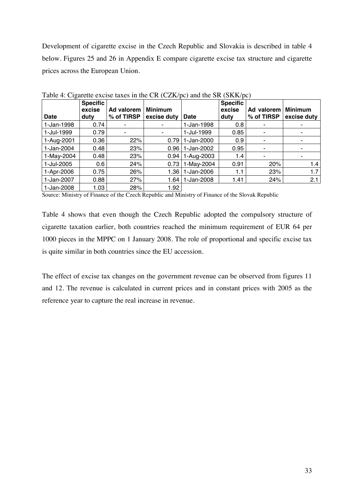Development of cigarette excise in the Czech Republic and Slovakia is described in table 4 below. Figures 25 and 26 in Appendix E compare cigarette excise tax structure and cigarette prices across the European Union.

| $\circ$     |                                   |                          |                               |             |                                   |                          |                               |
|-------------|-----------------------------------|--------------------------|-------------------------------|-------------|-----------------------------------|--------------------------|-------------------------------|
| <b>Date</b> | <b>Specific</b><br>excise<br>duty | Ad valorem<br>% of TIRSP | <b>Minimum</b><br>excise duty | <b>Date</b> | <b>Specific</b><br>excise<br>duty | Ad valorem<br>% of TIRSP | <b>Minimum</b><br>excise duty |
| 1-Jan-1998  | 0.74                              | ۰                        | ۰                             | 1-Jan-1998  | 0.8                               |                          |                               |
| 1-Jul-1999  | 0.79                              | ۰                        | ٠                             | 1-Jul-1999  | 0.85                              |                          |                               |
| 1-Aug-2001  | 0.36                              | 22%                      | 0.79                          | 1-Jan-2000  | 0.9                               |                          |                               |
| 1-Jan-2004  | 0.48                              | 23%                      | 0.96                          | 1-Jan-2002  | 0.95                              |                          |                               |
| 1-May-2004  | 0.48                              | 23%                      | 0.94                          | 1-Aug-2003  | 1.4                               |                          |                               |
| 1-Jul-2005  | 0.6                               | 24%                      | 0.73                          | 1-May-2004  | 0.91                              | 20%                      | 1.4                           |
| 1-Apr-2006  | 0.75                              | 26%                      | 1.36                          | 1-Jan-2006  | 1.1                               | 23%                      | 1.7                           |
| 1-Jan-2007  | 0.88                              | 27%                      | 1.64                          | 1-Jan-2008  | 1.41                              | 24%                      | 2.1                           |
| 1-Jan-2008  | 1.03                              | 28%                      | 1.92                          |             |                                   |                          |                               |

Table 4: Cigarette excise taxes in the CR (CZK/pc) and the SR (SKK/pc)

Source: Ministry of Finance of the Czech Republic and Ministry of Finance of the Slovak Republic

Table 4 shows that even though the Czech Republic adopted the compulsory structure of cigarette taxation earlier, both countries reached the minimum requirement of EUR 64 per 1000 pieces in the MPPC on 1 January 2008. The role of proportional and specific excise tax is quite similar in both countries since the EU accession.

The effect of excise tax changes on the government revenue can be observed from figures 11 and 12. The revenue is calculated in current prices and in constant prices with 2005 as the reference year to capture the real increase in revenue.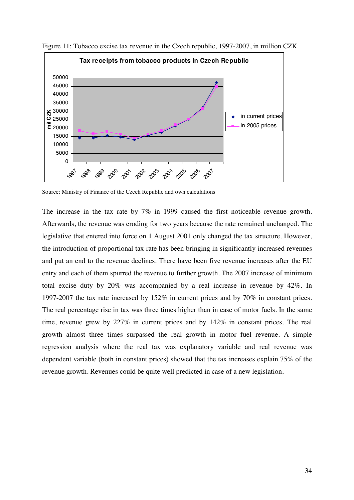

Figure 11: Tobacco excise tax revenue in the Czech republic, 1997-2007, in million CZK

Source: Ministry of Finance of the Czech Republic and own calculations

The increase in the tax rate by 7% in 1999 caused the first noticeable revenue growth. Afterwards, the revenue was eroding for two years because the rate remained unchanged. The legislative that entered into force on 1 August 2001 only changed the tax structure. However, the introduction of proportional tax rate has been bringing in significantly increased revenues and put an end to the revenue declines. There have been five revenue increases after the EU entry and each of them spurred the revenue to further growth. The 2007 increase of minimum total excise duty by 20% was accompanied by a real increase in revenue by 42%. In 1997-2007 the tax rate increased by 152% in current prices and by 70% in constant prices. The real percentage rise in tax was three times higher than in case of motor fuels. In the same time, revenue grew by 227% in current prices and by 142% in constant prices. The real growth almost three times surpassed the real growth in motor fuel revenue. A simple regression analysis where the real tax was explanatory variable and real revenue was dependent variable (both in constant prices) showed that the tax increases explain 75% of the revenue growth. Revenues could be quite well predicted in case of a new legislation.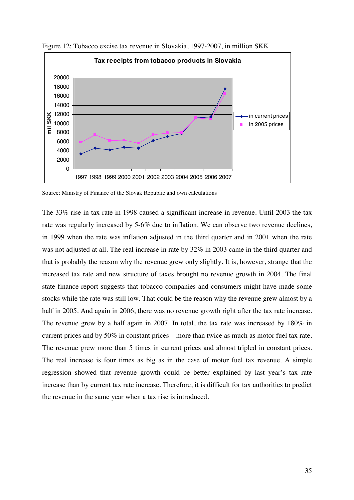

Figure 12: Tobacco excise tax revenue in Slovakia, 1997-2007, in million SKK

Source: Ministry of Finance of the Slovak Republic and own calculations

The 33% rise in tax rate in 1998 caused a significant increase in revenue. Until 2003 the tax rate was regularly increased by 5-6% due to inflation. We can observe two revenue declines, in 1999 when the rate was inflation adjusted in the third quarter and in 2001 when the rate was not adjusted at all. The real increase in rate by 32% in 2003 came in the third quarter and that is probably the reason why the revenue grew only slightly. It is, however, strange that the increased tax rate and new structure of taxes brought no revenue growth in 2004. The final state finance report suggests that tobacco companies and consumers might have made some stocks while the rate was still low. That could be the reason why the revenue grew almost by a half in 2005. And again in 2006, there was no revenue growth right after the tax rate increase. The revenue grew by a half again in 2007. In total, the tax rate was increased by 180% in current prices and by 50% in constant prices – more than twice as much as motor fuel tax rate. The revenue grew more than 5 times in current prices and almost tripled in constant prices. The real increase is four times as big as in the case of motor fuel tax revenue. A simple regression showed that revenue growth could be better explained by last year's tax rate increase than by current tax rate increase. Therefore, it is difficult for tax authorities to predict the revenue in the same year when a tax rise is introduced.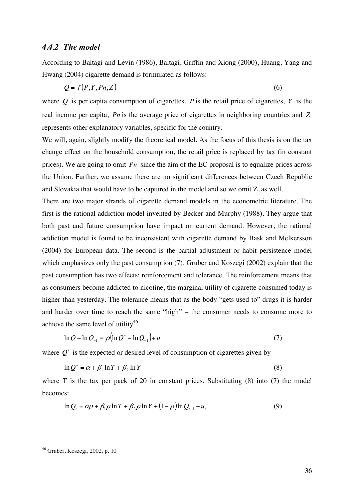#### *4.4.2 The model*

According to Baltagi and Levin (1986), Baltagi, Griffin and Xiong (2000), Huang, Yang and Hwang (2004) cigarette demand is formulated as follows:

$$
Q = f(P, Y, Pn, Z) \tag{6}
$$

where  $Q$  is per capita consumption of cigarettes,  $P$  is the retail price of cigarettes,  $Y$  is the real income per capita, *Pn* is the average price of cigarettes in neighboring countries and *Z* represents other explanatory variables, specific for the country.

We will, again, slightly modify the theoretical model. As the focus of this thesis is on the tax change effect on the household consumption, the retail price is replaced by tax (in constant prices). We are going to omit *Pn* since the aim of the EC proposal is to equalize prices across the Union. Further, we assume there are no significant differences between Czech Republic and Slovakia that would have to be captured in the model and so we omit Z, as well.

There are two major strands of cigarette demand models in the econometric literature. The first is the rational addiction model invented by Becker and Murphy (1988). They argue that both past and future consumption have impact on current demand. However, the rational addiction model is found to be inconsistent with cigarette demand by Bask and Melkersson (2004) for European data. The second is the partial adjustment or habit persistence model which emphasizes only the past consumption (7). Gruber and Koszegi (2002) explain that the past consumption has two effects: reinforcement and tolerance. The reinforcement means that as consumers become addicted to nicotine, the marginal utility of cigarette consumed today is higher than yesterday. The tolerance means that as the body "gets used to" drugs it is harder and harder over time to reach the same "high" – the consumer needs to consume more to achieve the same level of utility<sup>46</sup>.

$$
\ln Q - \ln Q_{-1} = \rho (\ln Q^* - \ln Q_{-1}) + u \tag{7}
$$

where  $Q^*$  is the expected or desired level of consumption of cigarettes given by

$$
\ln Q^* = \alpha + \beta_1 \ln T + \beta_2 \ln Y \tag{8}
$$

where  $T$  is the tax per pack of 20 in constant prices. Substituting  $(8)$  into  $(7)$  the model becomes:

$$
\ln Q_t = \alpha \rho + \beta_1 \rho \ln T + \beta_2 \rho \ln Y + (1 - \rho) \ln Q_{t-1} + u_t \tag{9}
$$

 $46$  Gruber, Koszegi, 2002, p. 10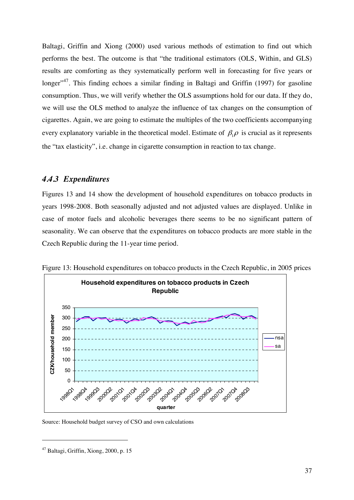Baltagi, Griffin and Xiong (2000) used various methods of estimation to find out which performs the best. The outcome is that "the traditional estimators (OLS, Within, and GLS) results are comforting as they systematically perform well in forecasting for five years or longer<sup> $147$ </sup>. This finding echoes a similar finding in Baltagi and Griffin (1997) for gasoline consumption. Thus, we will verify whether the OLS assumptions hold for our data. If they do, we will use the OLS method to analyze the influence of tax changes on the consumption of cigarettes. Again, we are going to estimate the multiples of the two coefficients accompanying every explanatory variable in the theoretical model. Estimate of  $\beta_1 \rho$  is crucial as it represents the "tax elasticity", i.e. change in cigarette consumption in reaction to tax change.

#### *4.4.3 Expenditures*

Figures 13 and 14 show the development of household expenditures on tobacco products in years 1998-2008. Both seasonally adjusted and not adjusted values are displayed. Unlike in case of motor fuels and alcoholic beverages there seems to be no significant pattern of seasonality. We can observe that the expenditures on tobacco products are more stable in the Czech Republic during the 11-year time period.



Figure 13: Household expenditures on tobacco products in the Czech Republic, in 2005 prices

Source: Household budget survey of CSO and own calculations

<sup>47</sup> Baltagi, Griffin, Xiong, 2000, p. 15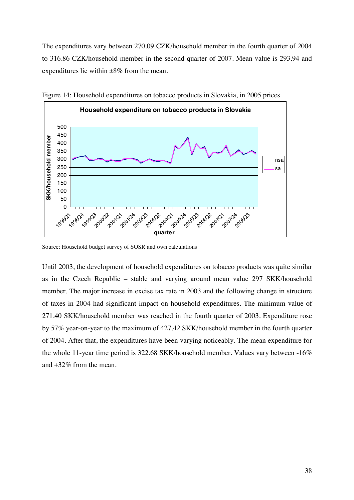The expenditures vary between 270.09 CZK/household member in the fourth quarter of 2004 to 316.86 CZK/household member in the second quarter of 2007. Mean value is 293.94 and expenditures lie within ±8% from the mean.



Figure 14: Household expenditures on tobacco products in Slovakia, in 2005 prices

Until 2003, the development of household expenditures on tobacco products was quite similar as in the Czech Republic – stable and varying around mean value 297 SKK/household member. The major increase in excise tax rate in 2003 and the following change in structure of taxes in 2004 had significant impact on household expenditures. The minimum value of 271.40 SKK/household member was reached in the fourth quarter of 2003. Expenditure rose by 57% year-on-year to the maximum of 427.42 SKK/household member in the fourth quarter of 2004. After that, the expenditures have been varying noticeably. The mean expenditure for the whole 11-year time period is 322.68 SKK/household member. Values vary between -16% and +32% from the mean.

Source: Household budget survey of SOSR and own calculations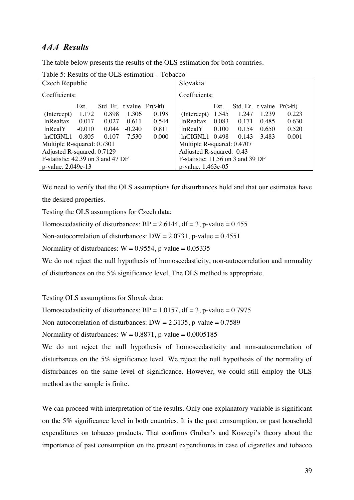## *4.4.4 Results*

The table below presents the results of the OLS estimation for both countries.

| Czech Republic                       |          | Slovakia                           |          |       |                                      |       |                                    |       |       |  |
|--------------------------------------|----------|------------------------------------|----------|-------|--------------------------------------|-------|------------------------------------|-------|-------|--|
| Coefficients:                        |          | Coefficients:                      |          |       |                                      |       |                                    |       |       |  |
|                                      | Est.     | Std. Er. t value $Pr(>\mid t\mid)$ |          |       |                                      | Est.  | Std. Er. t value $Pr(>\mid t\mid)$ |       |       |  |
| (Intercept)                          | 1.172    | 0.898                              | 1.306    | 0.198 | (Intercept)                          | 1.545 | 1.247                              | 1.239 | 0.223 |  |
| <b>lnRealtax</b>                     | 0.017    | 0.027                              | 0.611    | 0.544 | <b>lnRealtax</b>                     | 0.083 | 0.171                              | 0.485 | 0.630 |  |
| lnRealY                              | $-0.010$ | 0.044                              | $-0.240$ | 0.811 | lnRealY                              | 0.100 | 0.154                              | 0.650 | 0.520 |  |
| lnCIGNL1                             | 0.805    | 0.107                              | 7.530    | 0.000 | $lnCIGNL1$ 0.498                     |       | 0.143                              | 3.483 | 0.001 |  |
| Multiple R-squared: 0.7301           |          |                                    |          |       | Multiple R-squared: 0.4707           |       |                                    |       |       |  |
| Adjusted R-squared: 0.7129           |          |                                    |          |       | Adjusted R-squared: 0.43             |       |                                    |       |       |  |
| $F$ -statistic: 42.39 on 3 and 47 DF |          |                                    |          |       | $F$ -statistic: 11.56 on 3 and 39 DF |       |                                    |       |       |  |
| p-value: 2.049e-13                   |          |                                    |          |       | p-value: 1.463e-05                   |       |                                    |       |       |  |

Table 5: Results of the OLS estimation – Tobacco

We need to verify that the OLS assumptions for disturbances hold and that our estimates have the desired properties.

Testing the OLS assumptions for Czech data:

Homoscedasticity of disturbances:  $BP = 2.6144$ , df = 3, p-value = 0.455

Non-autocorrelation of disturbances: DW =  $2.0731$ , p-value =  $0.4551$ 

Normality of disturbances:  $W = 0.9554$ , p-value = 0.05335

We do not reject the null hypothesis of homoscedasticity, non-autocorrelation and normality

of disturbances on the 5% significance level. The OLS method is appropriate.

Testing OLS assumptions for Slovak data:

Homoscedasticity of disturbances:  $BP = 1.0157$ ,  $df = 3$ , p-value = 0.7975

Non-autocorrelation of disturbances: DW =  $2.3135$ , p-value =  $0.7589$ 

Normality of disturbances:  $W = 0.8871$ , p-value = 0.0005185

We do not reject the null hypothesis of homoscedasticity and non-autocorrelation of disturbances on the 5% significance level. We reject the null hypothesis of the normality of disturbances on the same level of significance. However, we could still employ the OLS method as the sample is finite.

We can proceed with interpretation of the results. Only one explanatory variable is significant on the 5% significance level in both countries. It is the past consumption, or past household expenditures on tobacco products. That confirms Gruber's and Koszegi's theory about the importance of past consumption on the present expenditures in case of cigarettes and tobacco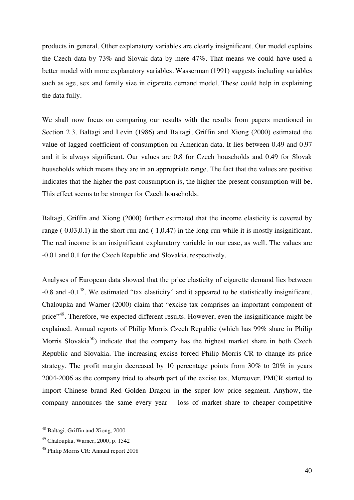products in general. Other explanatory variables are clearly insignificant. Our model explains the Czech data by 73% and Slovak data by mere 47%. That means we could have used a better model with more explanatory variables. Wasserman (1991) suggests including variables such as age, sex and family size in cigarette demand model. These could help in explaining the data fully.

We shall now focus on comparing our results with the results from papers mentioned in Section 2.3. Baltagi and Levin (1986) and Baltagi, Griffin and Xiong (2000) estimated the value of lagged coefficient of consumption on American data. It lies between 0.49 and 0.97 and it is always significant. Our values are 0.8 for Czech households and 0.49 for Slovak households which means they are in an appropriate range. The fact that the values are positive indicates that the higher the past consumption is, the higher the present consumption will be. This effect seems to be stronger for Czech households.

Baltagi, Griffin and Xiong (2000) further estimated that the income elasticity is covered by range (-0.03,0.1) in the short-run and (-1,0.47) in the long-run while it is mostly insignificant. The real income is an insignificant explanatory variable in our case, as well. The values are -0.01 and 0.1 for the Czech Republic and Slovakia, respectively.

Analyses of European data showed that the price elasticity of cigarette demand lies between -0.8 and -0.1<sup>48</sup>. We estimated "tax elasticity" and it appeared to be statistically insignificant. Chaloupka and Warner (2000) claim that "excise tax comprises an important component of price"<sup>49</sup>. Therefore, we expected different results. However, even the insignificance might be explained. Annual reports of Philip Morris Czech Republic (which has 99% share in Philip Morris Slovakia<sup>50</sup>) indicate that the company has the highest market share in both Czech Republic and Slovakia. The increasing excise forced Philip Morris CR to change its price strategy. The profit margin decreased by 10 percentage points from 30% to 20% in years 2004-2006 as the company tried to absorb part of the excise tax. Moreover, PMCR started to import Chinese brand Red Golden Dragon in the super low price segment. Anyhow, the company announces the same every year – loss of market share to cheaper competitive

<sup>48</sup> Baltagi, Griffin and Xiong, 2000

<sup>49</sup> Chaloupka, Warner, 2000, p. 1542

<sup>50</sup> Philip Morris CR: Annual report 2008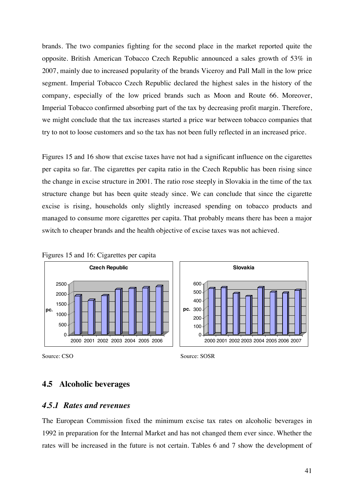brands. The two companies fighting for the second place in the market reported quite the opposite. British American Tobacco Czech Republic announced a sales growth of 53% in 2007, mainly due to increased popularity of the brands Viceroy and Pall Mall in the low price segment. Imperial Tobacco Czech Republic declared the highest sales in the history of the company, especially of the low priced brands such as Moon and Route 66. Moreover, Imperial Tobacco confirmed absorbing part of the tax by decreasing profit margin. Therefore, we might conclude that the tax increases started a price war between tobacco companies that try to not to loose customers and so the tax has not been fully reflected in an increased price.

Figures 15 and 16 show that excise taxes have not had a significant influence on the cigarettes per capita so far. The cigarettes per capita ratio in the Czech Republic has been rising since the change in excise structure in 2001. The ratio rose steeply in Slovakia in the time of the tax structure change but has been quite steady since. We can conclude that since the cigarette excise is rising, households only slightly increased spending on tobacco products and managed to consume more cigarettes per capita. That probably means there has been a major switch to cheaper brands and the health objective of excise taxes was not achieved.





Source: CSO Source: SOSR

#### **4.5 Alcoholic beverages**

#### *4.5.1 Rates and revenues*

The European Commission fixed the minimum excise tax rates on alcoholic beverages in 1992 in preparation for the Internal Market and has not changed them ever since. Whether the rates will be increased in the future is not certain. Tables 6 and 7 show the development of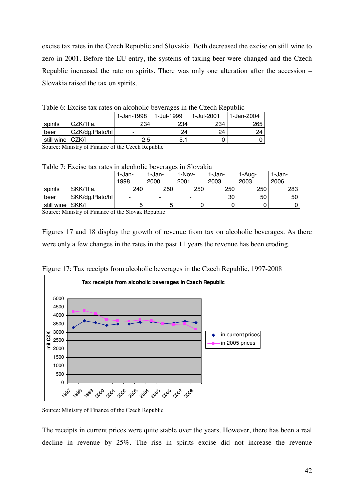excise tax rates in the Czech Republic and Slovakia. Both decreased the excise on still wine to zero in 2001. Before the EU entry, the systems of taxing beer were changed and the Czech Republic increased the rate on spirits. There was only one alteration after the accession – Slovakia raised the tax on spirits.

|                    | THAT A THRAING MILLING AT MIRATIONS ARE ATHLES IN MIR AND MILLING THE |            |              |            |            |  |  |  |  |  |
|--------------------|-----------------------------------------------------------------------|------------|--------------|------------|------------|--|--|--|--|--|
|                    |                                                                       | 1-Jan-1998 | l 1-Jul-1999 | 1-Jul-2001 | 1-Jan-2004 |  |  |  |  |  |
| spirits            | CZK/1I a.                                                             | 234        | 234          | 234        | 265        |  |  |  |  |  |
| beer               | CZK/dg.Plato/hl                                                       | -          | 24           | 24         | 24         |  |  |  |  |  |
| still wine   CZK/I |                                                                       | 2.5        | 5.           |            |            |  |  |  |  |  |

Table 6: Excise tax rates on alcoholic beverages in the Czech Republic

Source: Ministry of Finance of the Czech Republic

Table 7: Excise tax rates in alcoholic beverages in Slovakia

|                  |                              | 1-Jan-                            | -1-Jan- | 1-Nov- | 1-Jan- | 1-Aug- | 1-Jan- |
|------------------|------------------------------|-----------------------------------|---------|--------|--------|--------|--------|
|                  |                              | 1998                              | 2000    | 2001   | 2003   | 2003   | 2006   |
| spirits          | SKK/1l a.                    | 240                               | 250     | 250    | 250    | 250    | 283    |
| beer             | SKK/dg.Plato/hl              | $\overline{\phantom{a}}$          | ۰.      |        | 30     | 50     | 50     |
| still wine SKK/I |                              |                                   | 5       | U      |        |        |        |
| $\sim$           | $\mathbf{r}$<br>$\mathbf{r}$ | $0.1 \quad 0.1$<br>1 <sub>n</sub> | 1.1     |        |        |        |        |

Source: Ministry of Finance of the Slovak Republic

Figures 17 and 18 display the growth of revenue from tax on alcoholic beverages. As there were only a few changes in the rates in the past 11 years the revenue has been eroding.



Figure 17: Tax receipts from alcoholic beverages in the Czech Republic, 1997-2008

Source: Ministry of Finance of the Czech Republic

The receipts in current prices were quite stable over the years. However, there has been a real decline in revenue by 25%. The rise in spirits excise did not increase the revenue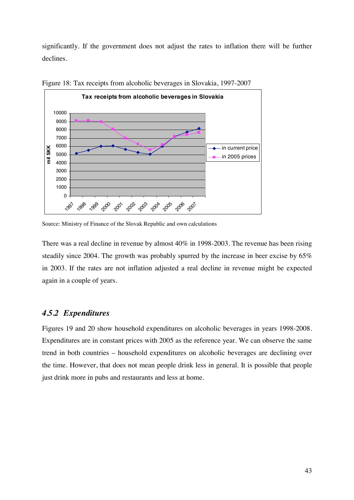significantly. If the government does not adjust the rates to inflation there will be further declines.



Figure 18: Tax receipts from alcoholic beverages in Slovakia, 1997-2007

There was a real decline in revenue by almost 40% in 1998-2003. The revenue has been rising steadily since 2004. The growth was probably spurred by the increase in beer excise by 65% in 2003. If the rates are not inflation adjusted a real decline in revenue might be expected again in a couple of years.

#### *4.5.2 Expenditures*

Figures 19 and 20 show household expenditures on alcoholic beverages in years 1998-2008. Expenditures are in constant prices with 2005 as the reference year. We can observe the same trend in both countries – household expenditures on alcoholic beverages are declining over the time. However, that does not mean people drink less in general. It is possible that people just drink more in pubs and restaurants and less at home.

Source: Ministry of Finance of the Slovak Republic and own calculations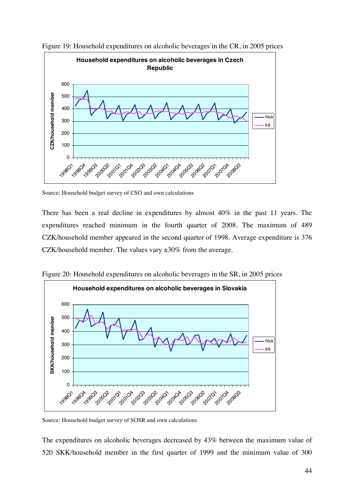

Figure 19: Household expenditures on alcoholic beverages in the CR, in 2005 prices

Source: Household budget survey of CSO and own calculations

There has been a real decline in expenditures by almost 40% in the past 11 years. The expenditures reached minimum in the fourth quarter of 2008. The maximum of 489 CZK/household member appeared in the second quarter of 1998. Average expenditure is 376 CZK/household member. The values vary ±30% from the average.



Figure 20: Household expenditures on alcoholic beverages in the SR, in 2005 prices

Source: Household budget survey of SOSR and own calculations

The expenditures on alcoholic beverages decreased by 43% between the maximum value of 520 SKK/household member in the first quarter of 1999 and the minimum value of 300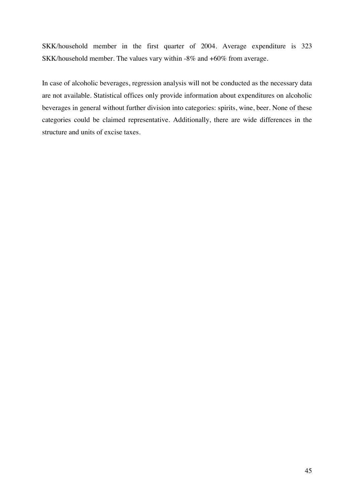SKK/household member in the first quarter of 2004. Average expenditure is 323 SKK/household member. The values vary within -8% and +60% from average.

In case of alcoholic beverages, regression analysis will not be conducted as the necessary data are not available. Statistical offices only provide information about expenditures on alcoholic beverages in general without further division into categories: spirits, wine, beer. None of these categories could be claimed representative. Additionally, there are wide differences in the structure and units of excise taxes.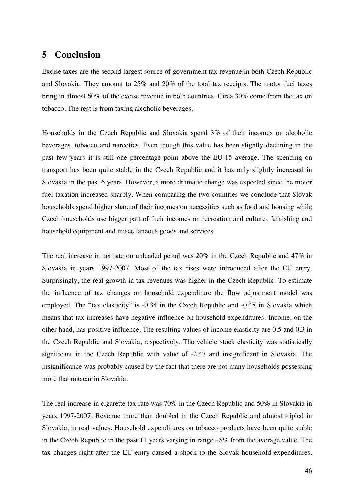## **5 Conclusion**

Excise taxes are the second largest source of government tax revenue in both Czech Republic and Slovakia. They amount to 25% and 20% of the total tax receipts. The motor fuel taxes bring in almost 60% of the excise revenue in both countries. Circa 30% come from the tax on tobacco. The rest is from taxing alcoholic beverages.

Households in the Czech Republic and Slovakia spend 3% of their incomes on alcoholic beverages, tobacco and narcotics. Even though this value has been slightly declining in the past few years it is still one percentage point above the EU-15 average. The spending on transport has been quite stable in the Czech Republic and it has only slightly increased in Slovakia in the past 6 years. However, a more dramatic change was expected since the motor fuel taxation increased sharply. When comparing the two countries we conclude that Slovak households spend higher share of their incomes on necessities such as food and housing while Czech households use bigger part of their incomes on recreation and culture, furnishing and household equipment and miscellaneous goods and services.

The real increase in tax rate on unleaded petrol was 20% in the Czech Republic and 47% in Slovakia in years 1997-2007. Most of the tax rises were introduced after the EU entry. Surprisingly, the real growth in tax revenues was higher in the Czech Republic. To estimate the influence of tax changes on household expenditure the flow adjustment model was employed. The "tax elasticity" is -0.34 in the Czech Republic and -0.48 in Slovakia which means that tax increases have negative influence on household expenditures. Income, on the other hand, has positive influence. The resulting values of income elasticity are 0.5 and 0.3 in the Czech Republic and Slovakia, respectively. The vehicle stock elasticity was statistically significant in the Czech Republic with value of -2.47 and insignificant in Slovakia. The insignificance was probably caused by the fact that there are not many households possessing more that one car in Slovakia.

The real increase in cigarette tax rate was 70% in the Czech Republic and 50% in Slovakia in years 1997-2007. Revenue more than doubled in the Czech Republic and almost tripled in Slovakia, in real values. Household expenditures on tobacco products have been quite stable in the Czech Republic in the past 11 years varying in range  $\pm 8\%$  from the average value. The tax changes right after the EU entry caused a shock to the Slovak household expenditures.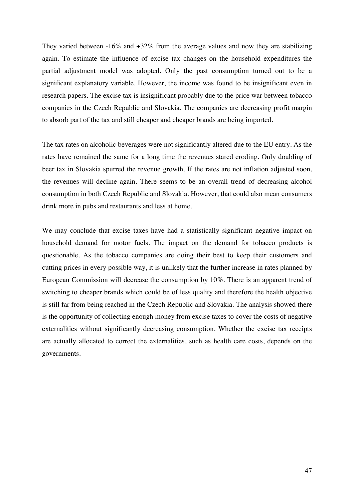They varied between -16% and +32% from the average values and now they are stabilizing again. To estimate the influence of excise tax changes on the household expenditures the partial adjustment model was adopted. Only the past consumption turned out to be a significant explanatory variable. However, the income was found to be insignificant even in research papers. The excise tax is insignificant probably due to the price war between tobacco companies in the Czech Republic and Slovakia. The companies are decreasing profit margin to absorb part of the tax and still cheaper and cheaper brands are being imported.

The tax rates on alcoholic beverages were not significantly altered due to the EU entry. As the rates have remained the same for a long time the revenues stared eroding. Only doubling of beer tax in Slovakia spurred the revenue growth. If the rates are not inflation adjusted soon, the revenues will decline again. There seems to be an overall trend of decreasing alcohol consumption in both Czech Republic and Slovakia. However, that could also mean consumers drink more in pubs and restaurants and less at home.

We may conclude that excise taxes have had a statistically significant negative impact on household demand for motor fuels. The impact on the demand for tobacco products is questionable. As the tobacco companies are doing their best to keep their customers and cutting prices in every possible way, it is unlikely that the further increase in rates planned by European Commission will decrease the consumption by 10%. There is an apparent trend of switching to cheaper brands which could be of less quality and therefore the health objective is still far from being reached in the Czech Republic and Slovakia. The analysis showed there is the opportunity of collecting enough money from excise taxes to cover the costs of negative externalities without significantly decreasing consumption. Whether the excise tax receipts are actually allocated to correct the externalities, such as health care costs, depends on the governments.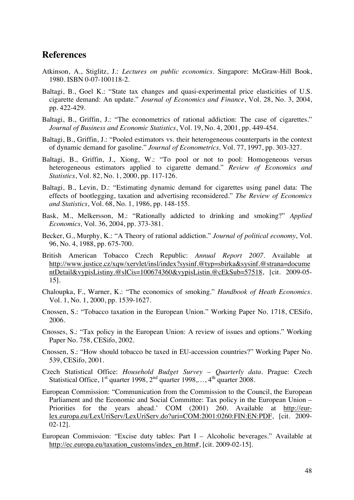## **References**

- Atkinson, A., Stiglitz, J.: *Lectures on public economics*. Singapore: McGraw-Hill Book, 1980. ISBN 0-07-100118-2.
- Baltagi, B., Goel K.: "State tax changes and quasi-experimental price elasticities of U.S. cigarette demand: An update." *Journal of Economics and Finance*, Vol. 28, No. 3, 2004, pp. 422-429.
- Baltagi, B., Griffin, J.: "The econometrics of rational addiction: The case of cigarettes." *Journal of Business and Economic Statistics*, Vol. 19, No. 4, 2001, pp. 449-454.
- Baltagi, B., Griffin, J.: "Pooled estimators vs. their heterogeneous counterparts in the context of dynamic demand for gasoline." *Journal of Econometrics,* Vol. 77, 1997, pp. 303-327.
- Baltagi, B., Griffin, J., Xiong, W.: "To pool or not to pool: Homogeneous versus heterogeneous estimators applied to cigarette demand." *Review of Economics and Statistics*, Vol. 82, No. 1, 2000, pp. 117-126.
- Baltagi, B., Levin, D.: "Estimating dynamic demand for cigarettes using panel data: The effects of bootlegging, taxation and advertising reconsidered." *The Review of Economics and Statistics*, Vol. 68, No. 1, 1986, pp. 148-155.
- Bask, M., Melkersson, M.: "Rationally addicted to drinking and smoking?" *Applied Economics,* Vol. 36, 2004, pp. 373-381.
- Becker, G., Murphy, K.: "A Theory of rational addiction." *Journal of political economy*, Vol. 96, No. 4, 1988, pp. 675-700.
- British American Tobacco Czech Republic: *Annual Report 2007.* Available at http://www.justice.cz/xqw/xervlet/insl/index?sysinf.@typ=sbirka&sysinf.@strana=docume ntDetail&vypisListiny.@slCis=100674360&vypisListin.@cEkSub=57518, [cit. 2009-05- 15].
- Chaloupka, F., Warner, K.: "The economics of smoking." *Handbook of Heath Economics.*  Vol. 1, No. 1, 2000, pp. 1539-1627.
- Cnossen, S.: "Tobacco taxation in the European Union." Working Paper No. 1718, CESifo, 2006.
- Cnosses, S.: "Tax policy in the European Union: A review of issues and options." Working Paper No. 758, CESifo, 2002.
- Cnossen, S.: "How should tobacco be taxed in EU-accession countries?" Working Paper No. 539, CESifo, 2001.
- Czech Statistical Office: *Household Budget Survey Quarterly data.* Prague: Czech Statistical Office, 1<sup>st</sup> quarter 1998, 2<sup>nd</sup> quarter 1998,..., 4<sup>th</sup> quarter 2008.
- European Commission: "Communication from the Commission to the Council, the European Parliament and the Economic and Social Committee: Tax policy in the European Union – Priorities for the years ahead.' COM (2001) 260. Available at http://eurlex.europa.eu/LexUriServ/LexUriServ.do?uri=COM:2001:0260:FIN:EN:PDF, [cit. 2009- 02-12].
- European Commission: "Excise duty tables: Part I Alcoholic beverages." Available at http://ec.europa.eu/taxation\_customs/index\_en.htm#, [cit. 2009-02-15].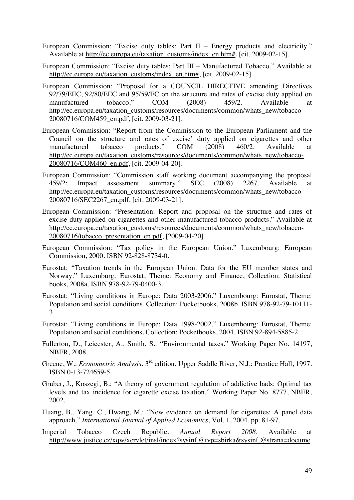- European Commission: "Excise duty tables: Part II Energy products and electricity." Available at http://ec.europa.eu/taxation\_customs/index\_en.htm#, [cit. 2009-02-15].
- European Commission: "Excise duty tables: Part III Manufactured Tobacco." Available at http://ec.europa.eu/taxation\_customs/index\_en.htm#, [cit. 2009-02-15].
- European Commission: "Proposal for a COUNCIL DIRECTIVE amending Directives 92/79/EEC, 92/80/EEC and 95/59/EC on the structure and rates of excise duty applied on manufactured tobacco." COM (2008) 459/2. Available at http://ec.europa.eu/taxation\_customs/resources/documents/common/whats\_new/tobacco-20080716/COM459\_en.pdf, [cit. 2009-03-21].
- European Commission: "Report from the Commission to the European Parliament and the Council on the structure and rates of excise' duty applied on cigarettes and other manufactured tobacco products." COM (2008) 460/2. Available at manufactured tobacco products." COM (2008) 460/2. Available at http://ec.europa.eu/taxation\_customs/resources/documents/common/whats\_new/tobacco-20080716/COM460\_en.pdf, [cit. 2009-04-20].
- European Commission: "Commission staff working document accompanying the proposal 459/2: Impact assessment summary." SEC (2008) 2267. Available at http://ec.europa.eu/taxation\_customs/resources/documents/common/whats\_new/tobacco-20080716/SEC2267\_en.pdf, [cit. 2009-03-21].
- European Commission: "Presentation: Report and proposal on the structure and rates of excise duty applied on cigarettes and other manufactured tobacco products." Available at http://ec.europa.eu/taxation\_customs/resources/documents/common/whats\_new/tobacco-20080716/tobacco\_presentation\_en.pdf, [2009-04-20].
- European Commission: "Tax policy in the European Union." Luxembourg: European Commission, 2000. ISBN 92-828-8734-0.
- Eurostat: "Taxation trends in the European Union: Data for the EU member states and Norway." Luxemburg: Eurostat, Theme: Economy and Finance, Collection: Statistical books, 2008a. ISBN 978-92-79-0400-3.
- Eurostat: "Living conditions in Europe: Data 2003-2006." Luxembourg: Eurostat, Theme: Population and social conditions, Collection: Pocketbooks, 2008b. ISBN 978-92-79-10111- 3
- Eurostat: "Living conditions in Europe: Data 1998-2002." Luxembourg: Eurostat, Theme: Population and social conditions, Collection: Pocketbooks, 2004. ISBN 92-894-5885-2.
- Fullerton, D., Leicester, A., Smith, S.: "Environmental taxes." Working Paper No. 14197, NBER, 2008.
- Greene, W.: *Econometric Analysis*. 3<sup>rd</sup> edition. Upper Saddle River, N.J.: Prentice Hall, 1997. ISBN 0-13-724659-5.
- Gruber, J., Koszegi, B.: "A theory of government regulation of addictive bads: Optimal tax levels and tax incidence for cigarette excise taxation." Working Paper No. 8777, NBER, 2002.
- Huang, B., Yang, C., Hwang, M.: "New evidence on demand for cigarettes: A panel data approach." *International Journal of Applied Economics*, Vol. 1, 2004, pp. 81-97.
- Imperial Tobacco Czech Republic. *Annual Report 2008.* Available at http://www.justice.cz/xqw/xervlet/insl/index?sysinf.@typ=sbirka&sysinf.@strana=docume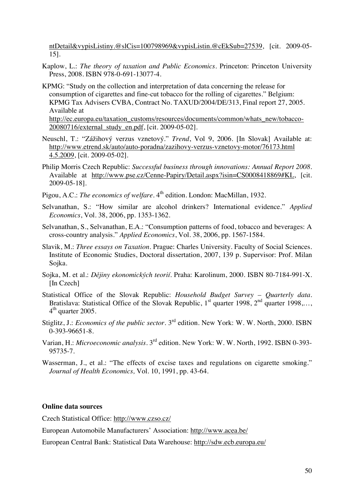ntDetail&vypisListiny.@slCis=100798969&vypisListin.@cEkSub=27539, [cit. 2009-05- 15].

- Kaplow, L.: *The theory of taxation and Public Economics.* Princeton: Princeton University Press, 2008. ISBN 978-0-691-13077-4.
- KPMG: "Study on the collection and interpretation of data concerning the release for consumption of cigarettes and fine-cut tobacco for the rolling of cigarettes." Belgium: KPMG Tax Advisers CVBA, Contract No. TAXUD/2004/DE/313, Final report 27, 2005. Available at http://ec.europa.eu/taxation\_customs/resources/documents/common/whats\_new/tobacco-

20080716/external\_study\_en.pdf, [cit. 2009-05-02].

- Neuschl, T.: "Zážihový verzus vznetový." *Trend*, Vol 9, 2006. [In Slovak] Available at: http://www.etrend.sk/auto/auto-poradna/zazihovy-verzus-vznetovy-motor/76173.html 4.5.2009, [cit. 2009-05-02].
- Philip Morris Czech Republic: *Successful business through innovations: Annual Report 2008*. Available at http://www.pse.cz/Cenne-Papiry/Detail.aspx?isin=CS0008418869#KL, [cit. 2009-05-18].
- Pigou, A.C.: *The economics of welfare.* 4th edition. London: MacMillan, 1932.
- Selvanathan, S.: "How similar are alcohol drinkers? International evidence." *Applied Economics*, Vol. 38, 2006, pp. 1353-1362.
- Selvanathan, S., Selvanathan, E.A.: "Consumption patterns of food, tobacco and beverages: A cross-country analysis." *Applied Economics*, Vol. 38, 2006, pp. 1567-1584.
- Slavik, M.: *Three essays on Taxation.* Prague: Charles University. Faculty of Social Sciences. Institute of Economic Studies, Doctoral dissertation, 2007, 139 p. Supervisor: Prof. Milan Sojka.
- Sojka, M. et al.: *Djiny ekonomických teorií*. Praha: Karolinum, 2000. ISBN 80-7184-991-X. [In Czech]
- Statistical Office of the Slovak Republic: *Household Budget Survey Quarterly data.*  Bratislava: Statistical Office of the Slovak Republic,  $1<sup>st</sup>$  quarter 1998,  $2<sup>nd</sup>$  quarter 1998,...  $4<sup>th</sup>$  quarter 2005.
- Stiglitz, J.: *Economics of the public sector*. 3<sup>rd</sup> edition. New York: W. W. North, 2000. ISBN 0-393-96651-8.
- Varian, H.: *Microeconomic analysis.* 3rd edition. New York: W. W. North, 1992. ISBN 0-393- 95735-7.
- Wasserman, J., et al.: "The effects of excise taxes and regulations on cigarette smoking." *Journal of Health Economics,* Vol. 10, 1991, pp. 43-64.

#### **Online data sources**

Czech Statistical Office: http://www.czso.cz/

European Automobile Manufacturers' Association: http://www.acea.be/

European Central Bank: Statistical Data Warehouse: http://sdw.ecb.europa.eu/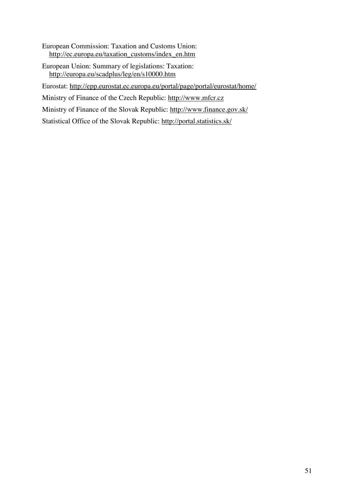- European Commission: Taxation and Customs Union: http://ec.europa.eu/taxation\_customs/index\_en.htm
- European Union: Summary of legislations: Taxation: http://europa.eu/scadplus/leg/en/s10000.htm

Eurostat: http://epp.eurostat.ec.europa.eu/portal/page/portal/eurostat/home/

Ministry of Finance of the Czech Republic: http://www.mfcr.cz

Ministry of Finance of the Slovak Republic: http://www.finance.gov.sk/

Statistical Office of the Slovak Republic: http://portal.statistics.sk/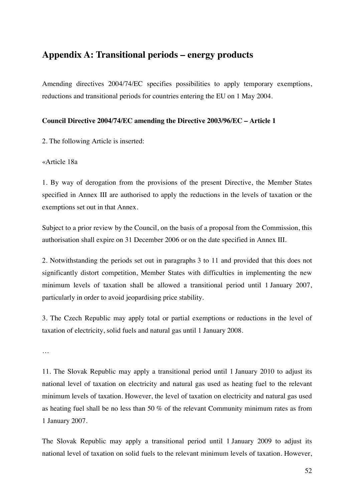## **Appendix A: Transitional periods – energy products**

Amending directives 2004/74/EC specifies possibilities to apply temporary exemptions, reductions and transitional periods for countries entering the EU on 1 May 2004.

#### **Council Directive 2004/74/EC amending the Directive 2003/96/EC – Article 1**

2. The following Article is inserted:

#### «Article 18a

1. By way of derogation from the provisions of the present Directive, the Member States specified in Annex III are authorised to apply the reductions in the levels of taxation or the exemptions set out in that Annex.

Subject to a prior review by the Council, on the basis of a proposal from the Commission, this authorisation shall expire on 31 December 2006 or on the date specified in Annex III.

2. Notwithstanding the periods set out in paragraphs 3 to 11 and provided that this does not significantly distort competition, Member States with difficulties in implementing the new minimum levels of taxation shall be allowed a transitional period until 1 January 2007, particularly in order to avoid jeopardising price stability.

3. The Czech Republic may apply total or partial exemptions or reductions in the level of taxation of electricity, solid fuels and natural gas until 1 January 2008.

…

11. The Slovak Republic may apply a transitional period until 1 January 2010 to adjust its national level of taxation on electricity and natural gas used as heating fuel to the relevant minimum levels of taxation. However, the level of taxation on electricity and natural gas used as heating fuel shall be no less than 50 % of the relevant Community minimum rates as from 1 January 2007.

The Slovak Republic may apply a transitional period until 1 January 2009 to adjust its national level of taxation on solid fuels to the relevant minimum levels of taxation. However,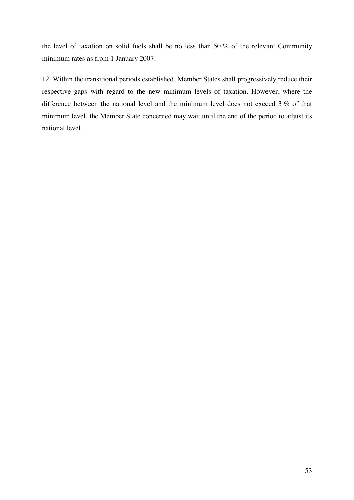the level of taxation on solid fuels shall be no less than 50 % of the relevant Community minimum rates as from 1 January 2007.

12. Within the transitional periods established, Member States shall progressively reduce their respective gaps with regard to the new minimum levels of taxation. However, where the difference between the national level and the minimum level does not exceed 3 % of that minimum level, the Member State concerned may wait until the end of the period to adjust its national level.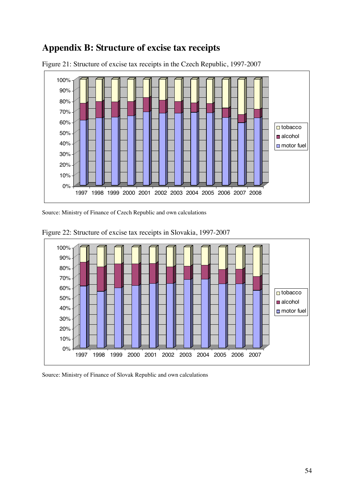## **Appendix B: Structure of excise tax receipts**



Figure 21: Structure of excise tax receipts in the Czech Republic, 1997-2007

Source: Ministry of Finance of Czech Republic and own calculations



Figure 22: Structure of excise tax receipts in Slovakia, 1997-2007

Source: Ministry of Finance of Slovak Republic and own calculations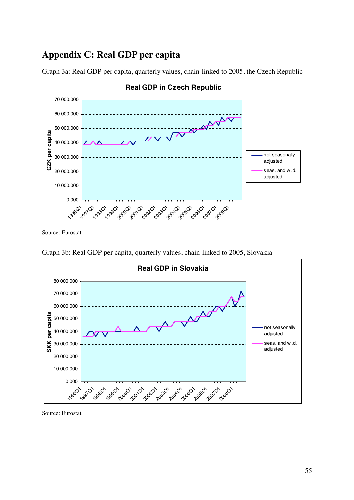## **Appendix C: Real GDP per capita**



Graph 3a: Real GDP per capita, quarterly values, chain-linked to 2005, the Czech Republic

Source: Eurostat



Graph 3b: Real GDP per capita, quarterly values, chain-linked to 2005, Slovakia

Source: Eurostat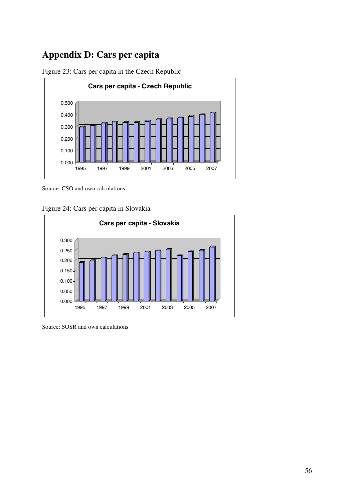# **Appendix D: Cars per capita**



Figure 23: Cars per capita in the Czech Republic

Source: CSO and own calculations

Figure 24: Cars per capita in Slovakia



Source: SOSR and own calculations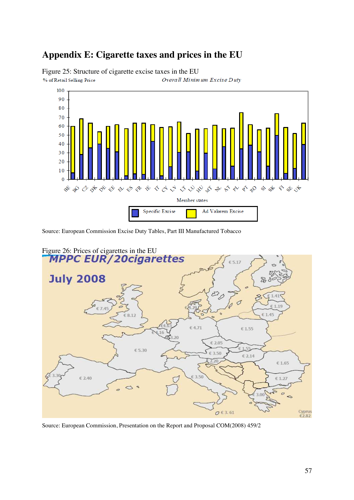## **Appendix E: Cigarette taxes and prices in the EU**



Figure 25: Structure of cigarette excise taxes in the EU % of Retail Selling Price Overall Minimum Excise Duty

Source: European Commission Excise Duty Tables, Part III Manufactured Tobacco



Source: European Commission, Presentation on the Report and Proposal COM(2008) 459/2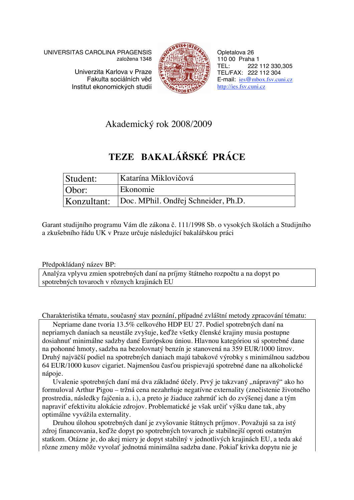UNIVERSITAS CAROLINA PRAGENSIS založena 1348

> Univerzita Karlova v Praze Fakulta sociálních věd Institut ekonomických studií



Opletalova 26 110 00 Praha 1 TEL: 222 112 330,305 TEL/FAX: 222 112 304 E-mail: ies@mbox.fsv.cuni.cz http://ies.fsv.cuni.cz

## Akademický rok 2008/2009

# **TEZE BAKALÁSKÉ PRÁCE**

| Student:    | Katarína Miklovičová                |
|-------------|-------------------------------------|
| Obor:       | Ekonomie                            |
| Konzultant: | Doc. MPhil. Ondřej Schneider, Ph.D. |

Garant studijního programu Vám dle zákona č. 111/1998 Sb. o vysokých školách a Studijního a zkušebního řádu UK v Praze určuje následující bakalářskou práci

Předpokládaný název BP:

Analýza vplyvu zmien spotrebných daní na príjmy štátneho rozpočtu a na dopyt po spotrebných tovaroch v rôznych krajinách EU

Charakteristika tématu, současný stav poznání, případné zvláštní metody zpracování tématu:

Nepriame dane tvoria 13.5% celkového HDP EU 27. Podiel spotrebných daní na nepriamych daniach sa neustále zvyšuje, keďže všetky členské krajiny musia postupne dosiahnuť minimálne sadzby dané Európskou úniou. Hlavnou kategóriou sú spotrebné dane na pohonné hmoty, sadzba na bezolovnatý benzín je stanovená na 359 EUR/1000 litrov. Druhý najväší podiel na spotrebných daniach majú tabakové výrobky s minimálnou sadzbou 64 EUR/1000 kusov cigariet. Najmenšou časťou prispievajú spotrebné dane na alkoholické nápoje.

Uvalenie spotrebných daní má dva základné účely. Prvý je takzvaný "nápravný" ako ho formuloval Arthur Pigou – tržná cena nezahrňuje negatívne externality (znečistenie životného prostredia, následky fajčenia a. i.), a preto je žiaduce zahrnúť ich do zvýšenej dane a tým napraviť efektivitu alokácie zdrojov. Problematické je však určiť výšku dane tak, aby optimálne vyvážila externality.

Druhou úlohou spotrebných daní je zvyšovanie štátnych príjmov. Považujú sa za istý zdroj financovania, keže dopyt po spotrebných tovaroch je stabilnejší oproti ostatným statkom. Otázne je, do akej miery je dopyt stabilný v jednotlivých krajinách EU, a teda aké rôzne zmeny môže vyvolať jednotná minimálna sadzba dane. Pokiaľ krivka dopytu nie je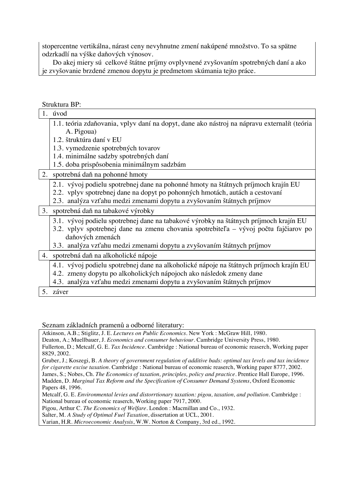stopercentne vertikálna, nárast ceny nevyhnutne zmení nakúpené množstvo. To sa spätne odzrkadlí na výške daňových výnosov.

Do akej miery sú celkové štátne príjmy ovplyvnené zvyšovaním spotrebných daní a ako je zvyšovanie brzdené zmenou dopytu je predmetom skúmania tejto práce.

#### Struktura BP:

|    | ouunuu oo u                                                                                                                                                                                       |
|----|---------------------------------------------------------------------------------------------------------------------------------------------------------------------------------------------------|
| 1. | úvod                                                                                                                                                                                              |
|    | 1.1. teória zdaňovania, vplyv daní na dopyt, dane ako nástroj na nápravu externalít (teória<br>A. Pigoua)                                                                                         |
|    | 1.2. štruktúra daní v EU                                                                                                                                                                          |
|    | 1.3. vymedzenie spotrebných tovarov                                                                                                                                                               |
|    | 1.4. minimálne sadzby spotrebných daní                                                                                                                                                            |
|    |                                                                                                                                                                                                   |
|    | 1.5. doba prispôsobenia minimálnym sadzbám                                                                                                                                                        |
|    | 2. spotrebná daň na pohonné hmoty                                                                                                                                                                 |
|    | 2.1. vývoj podielu spotrebnej dane na pohonné hmoty na štátnych príjmoch krajín EU<br>2.2. vplyv spotrebnej dane na dopyt po pohonných hmotách, autách a cestovaní                                |
|    | 2.3. analýza vzťahu medzi zmenami dopytu a zvyšovaním štátnych príjmov                                                                                                                            |
|    | 3. spotrebná daň na tabakové výrobky                                                                                                                                                              |
|    | 3.1. vývoj podielu spotrebnej dane na tabakové výrobky na štátnych príjmoch krajín EU<br>3.2. vplyv spotrebnej dane na zmenu chovania spotrebiteľa – vývoj počtu fajčiarov po<br>daňových zmenách |
|    | 3.3. analýza vzťahu medzi zmenami dopytu a zvyšovaním štátnych príjmov                                                                                                                            |
|    | 4. spotrebná daň na alkoholické nápoje                                                                                                                                                            |
|    | 4.1. vývoj podielu spotrebnej dane na alkoholické nápoje na štátnych príjmoch krajín EU                                                                                                           |
|    | 4.2. zmeny dopytu po alkoholických nápojoch ako následok zmeny dane                                                                                                                               |
|    | 4.3. analýza vzťahu medzi zmenami dopytu a zvyšovaním štátnych príjmov                                                                                                                            |
| 5. | záver                                                                                                                                                                                             |

Seznam základních pramenů a odborné literatury:

Atkinson, A.B.; Stiglitz, J. E. *Lectures on Public Economics*. New York : McGraw Hill, 1980.

Deaton, A.; Muellbauer, J. *Economics and consumer behaviour*. Cambridge University Press, 1980. Fullerton, D.; Metcalf, G. E. *Tax Incidence.* Cambridge : National bureau of economic reaserch, Working paper 8829, 2002.

Gruber, J.; Koszegi, B. *A theory of government regulation of additive bads: optimal tax levels and tax incidence for cigarette excise taxation.* Cambridge : National bureau of economic reaserch, Working paper 8777, 2002. James, S.; Nobes, Ch. *The Economics of taxation, principles, policy and practice*. Prentice Hall Europe, 1996.

Madden, D. *Marginal Tax Reform and the Specification of Consumer Demand Systems*, Oxford Economic Papers 48, 1996.

Metcalf, G. E. *Environmental levies and distorrtionary taxation: pigou, taxation, and pollution*. Cambridge : National bureau of economic reaserch, Working paper 7917, 2000.

Pigou, Arthur C. *The Economics of Welfare*. London : Macmillan and Co., 1932.

Salter, M. *A Study of Optimal Fuel Taxation*, dissertation at UCL, 2001.

Varian, H.R. *Microeconomic Analysis*, W.W. Norton & Company, 3rd ed., 1992.